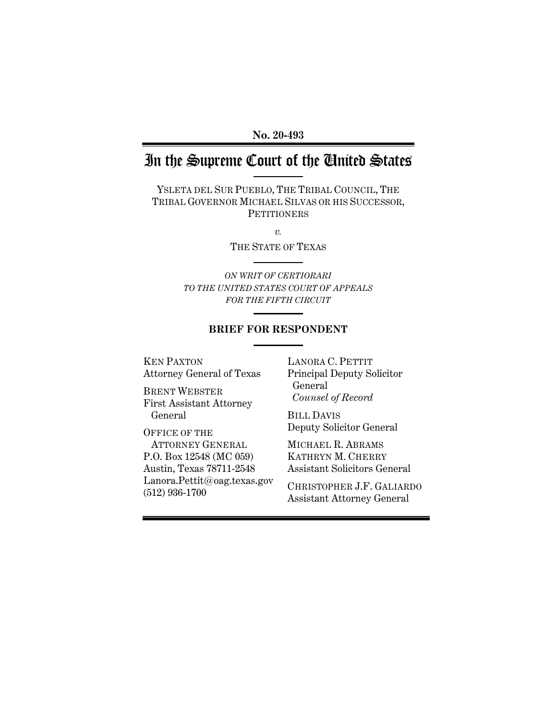**No. 20-493**

# In the Supreme Court of the United States

YSLETA DEL SUR PUEBLO, THE TRIBAL COUNCIL, THE TRIBAL GOVERNOR MICHAEL SILVAS OR HIS SUCCESSOR, **PETITIONERS** 

*v.*

THE STATE OF TEXAS

*ON WRIT OF CERTIORARI TO THE UNITED STATES COURT OF APPEALS FOR THE FIFTH CIRCUIT*

#### **BRIEF FOR RESPONDENT**

KEN PAXTON Attorney General of Texas

BRENT WEBSTER First Assistant Attorney General

OFFICE OF THE ATTORNEY GENERAL P.O. Box 12548 (MC 059) Austin, Texas 78711-2548 Lanora.Pettit@oag.texas.gov (512) 936-1700

LANORA C. PETTIT Principal Deputy Solicitor General  *Counsel of Record*

BILL DAVIS Deputy Solicitor General

MICHAEL R. ABRAMS KATHRYN M. CHERRY Assistant Solicitors General

CHRISTOPHER J.F. GALIARDO Assistant Attorney General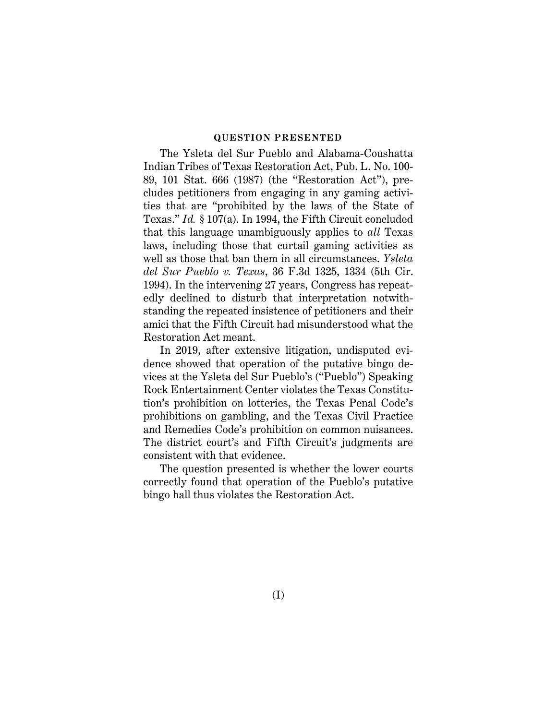#### **QUESTION PRESENTED**

<span id="page-1-0"></span>The Ysleta del Sur Pueblo and Alabama-Coushatta Indian Tribes of Texas Restoration Act, Pub. L. No. 100- 89, 101 Stat. 666 (1987) (the "Restoration Act"), precludes petitioners from engaging in any gaming activities that are "prohibited by the laws of the State of Texas." *Id.* § 107(a). In 1994, the Fifth Circuit concluded that this language unambiguously applies to *all* Texas laws, including those that curtail gaming activities as well as those that ban them in all circumstances. *Ysleta del Sur Pueblo v. Texas*, 36 F.3d 1325, 1334 (5th Cir. 1994). In the intervening 27 years, Congress has repeatedly declined to disturb that interpretation notwithstanding the repeated insistence of petitioners and their amici that the Fifth Circuit had misunderstood what the Restoration Act meant.

In 2019, after extensive litigation, undisputed evidence showed that operation of the putative bingo devices at the Ysleta del Sur Pueblo's ("Pueblo") Speaking Rock Entertainment Center violates the Texas Constitution's prohibition on lotteries, the Texas Penal Code's prohibitions on gambling, and the Texas Civil Practice and Remedies Code's prohibition on common nuisances. The district court's and Fifth Circuit's judgments are consistent with that evidence.

The question presented is whether the lower courts correctly found that operation of the Pueblo's putative bingo hall thus violates the Restoration Act.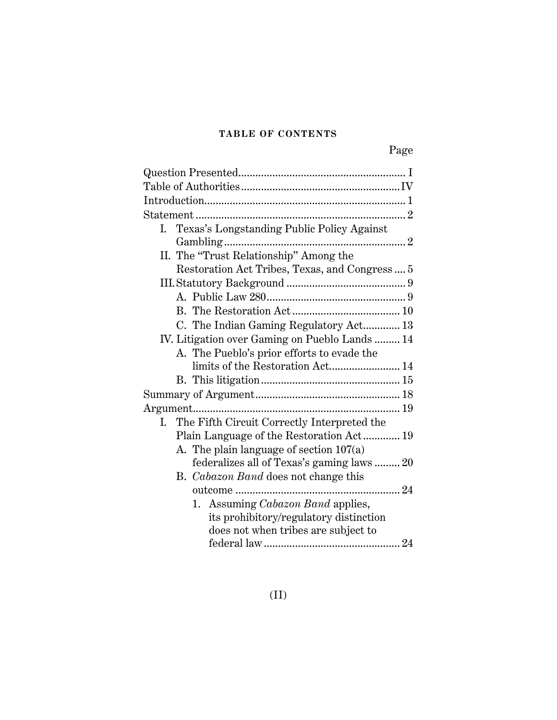## **TABLE OF CONTENTS**

| I. Texas's Longstanding Public Policy Against  |  |
|------------------------------------------------|--|
|                                                |  |
| II. The "Trust Relationship" Among the         |  |
| Restoration Act Tribes, Texas, and Congress 5  |  |
|                                                |  |
|                                                |  |
|                                                |  |
| C. The Indian Gaming Regulatory Act 13         |  |
| IV. Litigation over Gaming on Pueblo Lands  14 |  |
| A. The Pueblo's prior efforts to evade the     |  |
| limits of the Restoration Act 14               |  |
|                                                |  |
|                                                |  |
|                                                |  |
| I. The Fifth Circuit Correctly Interpreted the |  |
| Plain Language of the Restoration Act 19       |  |
| A. The plain language of section $107(a)$      |  |
| federalizes all of Texas's gaming laws  20     |  |
| B. Cabazon Band does not change this           |  |
|                                                |  |
| 1. Assuming <i>Cabazon Band</i> applies,       |  |
| its prohibitory/regulatory distinction         |  |
| does not when tribes are subject to            |  |
|                                                |  |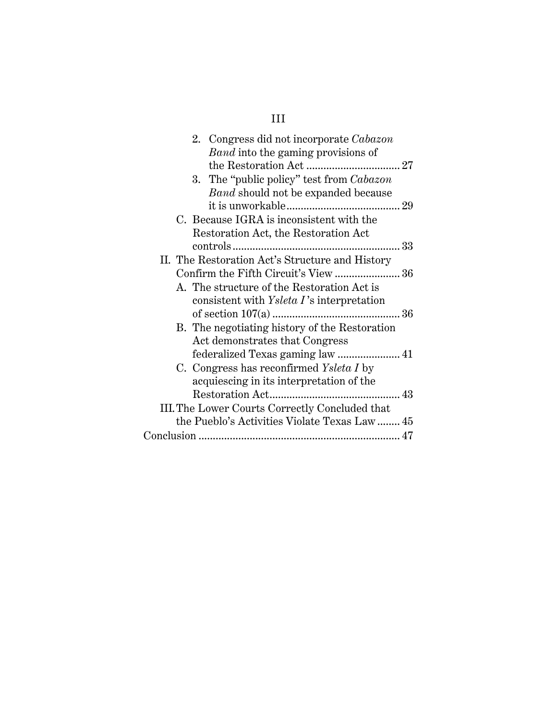# III

| 2. Congress did not incorporate Cabazon           |  |
|---------------------------------------------------|--|
| <i>Band</i> into the gaming provisions of         |  |
|                                                   |  |
| 3. The "public policy" test from Cabazon          |  |
| Band should not be expanded because               |  |
|                                                   |  |
| C. Because IGRA is inconsistent with the          |  |
| Restoration Act, the Restoration Act              |  |
|                                                   |  |
| II. The Restoration Act's Structure and History   |  |
|                                                   |  |
| A. The structure of the Restoration Act is        |  |
| consistent with <i>Ysleta I</i> 's interpretation |  |
|                                                   |  |
| B. The negotiating history of the Restoration     |  |
| Act demonstrates that Congress                    |  |
| federalized Texas gaming law  41                  |  |
| C. Congress has reconfirmed Ysleta I by           |  |
| acquiescing in its interpretation of the          |  |
|                                                   |  |
| III. The Lower Courts Correctly Concluded that    |  |
| the Pueblo's Activities Violate Texas Law  45     |  |
|                                                   |  |
|                                                   |  |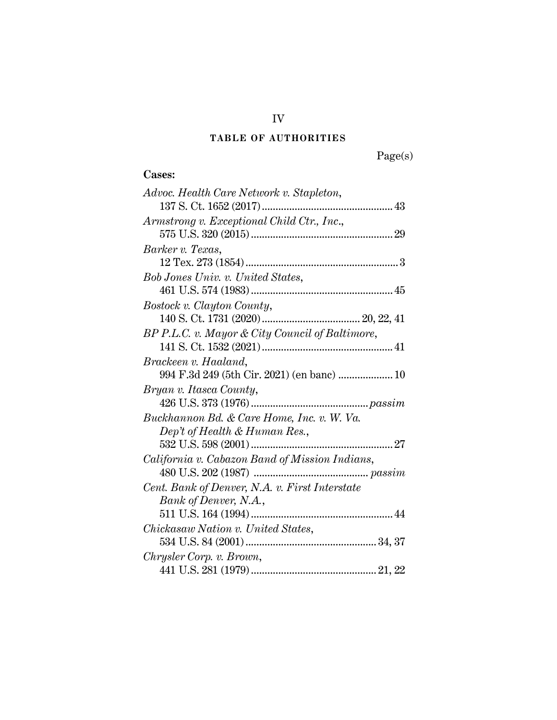# **TABLE OF AUTHORITIES**

Page(s)

## <span id="page-4-0"></span>**Cases:**

| Advoc. Health Care Network v. Stapleton,        |
|-------------------------------------------------|
|                                                 |
| Armstrong v. Exceptional Child Ctr., Inc.,      |
|                                                 |
| Barker v. Texas,                                |
|                                                 |
| <b>Bob Jones Univ. v. United States,</b>        |
|                                                 |
| Bostock v. Clayton County,                      |
|                                                 |
| BP P.L.C. v. Mayor & City Council of Baltimore, |
|                                                 |
| Brackeen v. Haaland,                            |
| 994 F.3d 249 (5th Cir. 2021) (en banc)  10      |
| Bryan v. Itasca County,                         |
|                                                 |
| Buckhannon Bd. & Care Home, Inc. v. W. Va.      |
| Dep't of Health & Human Res.,                   |
|                                                 |
| California v. Cabazon Band of Mission Indians,  |
|                                                 |
| Cent. Bank of Denver, N.A. v. First Interstate  |
| Bank of Denver, N.A.,                           |
|                                                 |
| Chickasaw Nation v. United States,              |
|                                                 |
| Chrysler Corp. v. Brown,                        |
|                                                 |

IV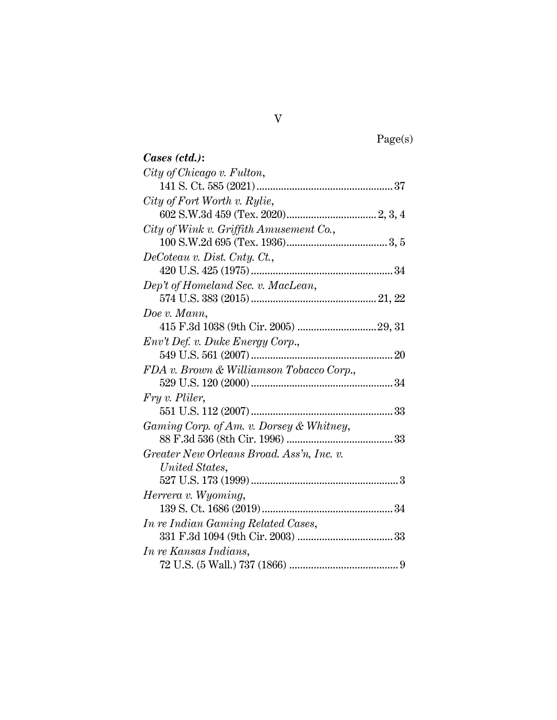| Cases (ctd.):                             |  |
|-------------------------------------------|--|
| City of Chicago v. Fulton,                |  |
|                                           |  |
| City of Fort Worth v. Rylie,              |  |
|                                           |  |
| City of Wink v. Griffith Amusement Co.,   |  |
|                                           |  |
| DeCoteau v. Dist. Cnty. Ct.,              |  |
|                                           |  |
| Dep't of Homeland Sec. v. MacLean,        |  |
|                                           |  |
| Doe v. Mann,                              |  |
|                                           |  |
| Env't Def. v. Duke Energy Corp.,          |  |
|                                           |  |
| FDA v. Brown & Williamson Tobacco Corp.,  |  |
|                                           |  |
| Fry v. Pliler,                            |  |
|                                           |  |
| Gaming Corp. of Am. v. Dorsey & Whitney,  |  |
|                                           |  |
| Greater New Orleans Broad. Ass'n, Inc. v. |  |
| United States,                            |  |
|                                           |  |
| Herrera v. Wyoming,                       |  |
|                                           |  |
| In re Indian Gaming Related Cases,        |  |
|                                           |  |
| In re Kansas Indians,                     |  |
|                                           |  |

V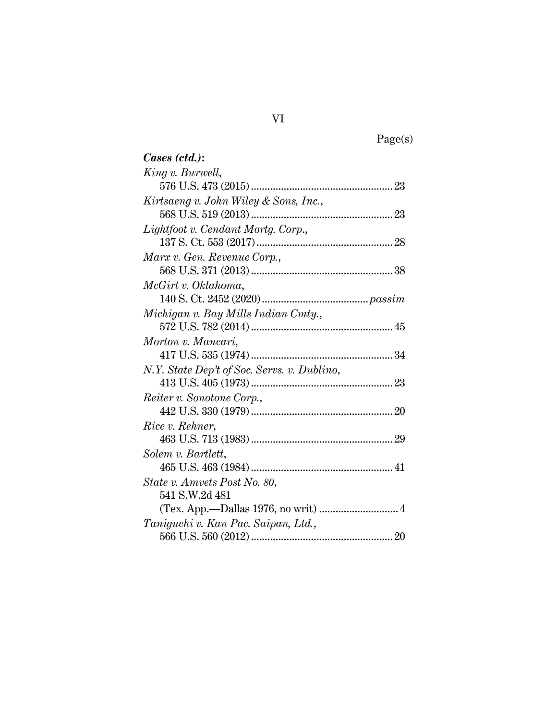| Cases (ctd.):                               |
|---------------------------------------------|
| King v. Burwell,                            |
|                                             |
| Kirtsaeng v. John Wiley & Sons, Inc.,       |
|                                             |
| Lightfoot v. Cendant Mortg. Corp.,          |
|                                             |
| Marx v. Gen. Revenue Corp.,                 |
|                                             |
| McGirt v. Oklahoma,                         |
|                                             |
| Michigan v. Bay Mills Indian Cmty.,         |
|                                             |
| Morton v. Mancari,                          |
|                                             |
| N.Y. State Dep't of Soc. Servs. v. Dublino, |
|                                             |
| Reiter v. Sonotone Corp.,                   |
|                                             |
| Rice v. Rehner,                             |
|                                             |
| Solem v. Bartlett,                          |
|                                             |
| State v. Amvets Post No. 80,                |
| 541 S.W.2d 481                              |
| (Tex. App.-Dallas 1976, no writ)  4         |
| Taniguchi v. Kan Pac. Saipan, Ltd.,         |
|                                             |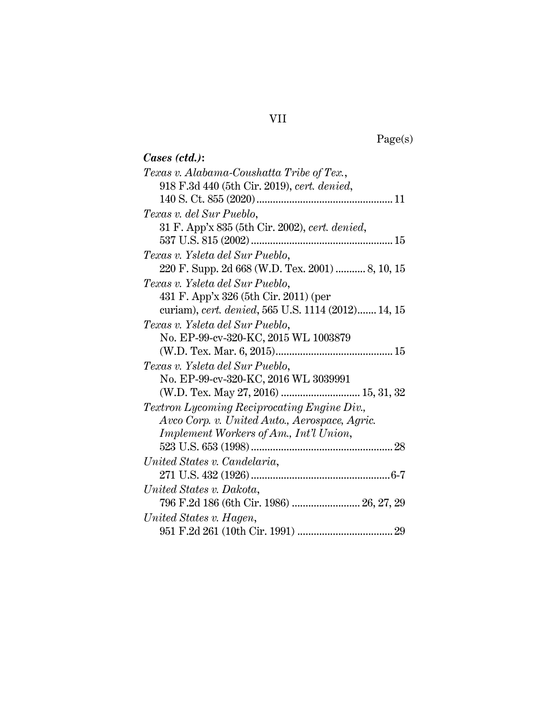| Cases (ctd.):                                      |
|----------------------------------------------------|
| Texas v. Alabama-Coushatta Tribe of Tex.,          |
| 918 F.3d 440 (5th Cir. 2019), cert. denied,        |
|                                                    |
| Texas v. del Sur Pueblo,                           |
| 31 F. App'x 835 (5th Cir. 2002), cert. denied,     |
|                                                    |
| Texas v. Ysleta del Sur Pueblo,                    |
| 220 F. Supp. 2d 668 (W.D. Tex. 2001)  8, 10, 15    |
| Texas v. Ysleta del Sur Pueblo,                    |
| 431 F. App'x 326 (5th Cir. 2011) (per              |
| curiam), cert. denied, 565 U.S. 1114 (2012) 14, 15 |
| Texas v. Ysleta del Sur Pueblo,                    |
| No. EP-99-cv-320-KC, 2015 WL 1003879               |
|                                                    |
| Texas v. Ysleta del Sur Pueblo,                    |
| No. EP-99-cv-320-KC, 2016 WL 3039991               |
| (W.D. Tex. May 27, 2016)  15, 31, 32               |
| Textron Lycoming Reciprocating Engine Div.,        |
| Avco Corp. v. United Auto., Aerospace, Agric.      |
| Implement Workers of Am., Int'l Union,             |
|                                                    |
| United States v. Candelaria,                       |
|                                                    |
| United States v. Dakota,                           |
| 796 F.2d 186 (6th Cir. 1986)  26, 27, 29           |
| United States v. Hagen,                            |
|                                                    |

# VII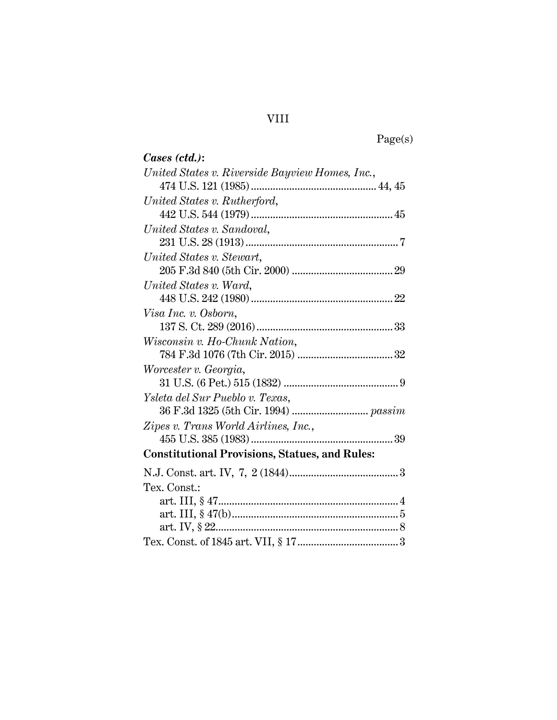# VIII

Page(s)

| Cases (ctd.):                                         |
|-------------------------------------------------------|
| United States v. Riverside Bayview Homes, Inc.,       |
|                                                       |
| United States v. Rutherford,                          |
|                                                       |
| United States v. Sandoval,                            |
|                                                       |
| United States v. Stewart,                             |
|                                                       |
| United States v. Ward,                                |
|                                                       |
| Visa Inc. v. Osborn,                                  |
|                                                       |
| Wisconsin v. Ho-Chunk Nation,                         |
|                                                       |
| Worcester v. Georgia,                                 |
|                                                       |
| Ysleta del Sur Pueblo v. Texas,                       |
|                                                       |
| Zipes v. Trans World Airlines, Inc.,                  |
|                                                       |
| <b>Constitutional Provisions, Statues, and Rules:</b> |
|                                                       |
| Tex. Const.:                                          |
|                                                       |
|                                                       |
|                                                       |
|                                                       |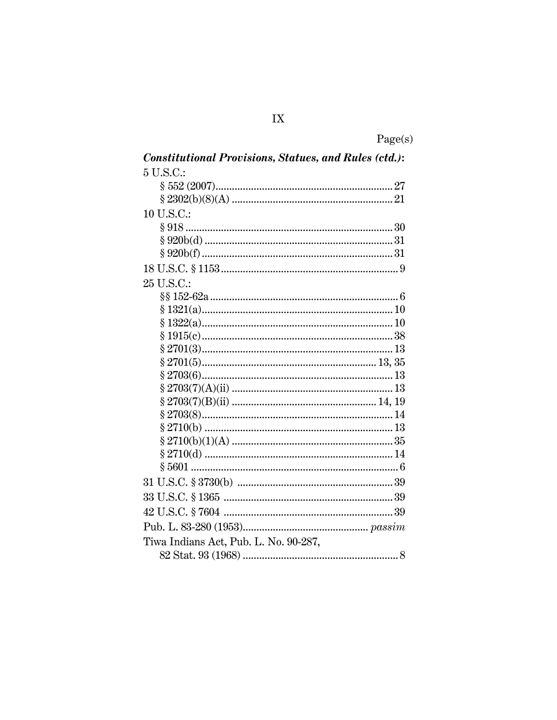| <b>Constitutional Provisions, Statues, and Rules (ctd.):</b> |  |
|--------------------------------------------------------------|--|
| 5 U.S.C.:                                                    |  |
|                                                              |  |
|                                                              |  |
| 10 U.S.C.:                                                   |  |
|                                                              |  |
|                                                              |  |
|                                                              |  |
|                                                              |  |
| 25 U.S.C.:                                                   |  |
|                                                              |  |
|                                                              |  |
|                                                              |  |
|                                                              |  |
|                                                              |  |
|                                                              |  |
|                                                              |  |
|                                                              |  |
|                                                              |  |
|                                                              |  |
|                                                              |  |
|                                                              |  |
|                                                              |  |
|                                                              |  |
|                                                              |  |
|                                                              |  |
|                                                              |  |
|                                                              |  |
| Tiwa Indians Act, Pub. L. No. 90-287,                        |  |
|                                                              |  |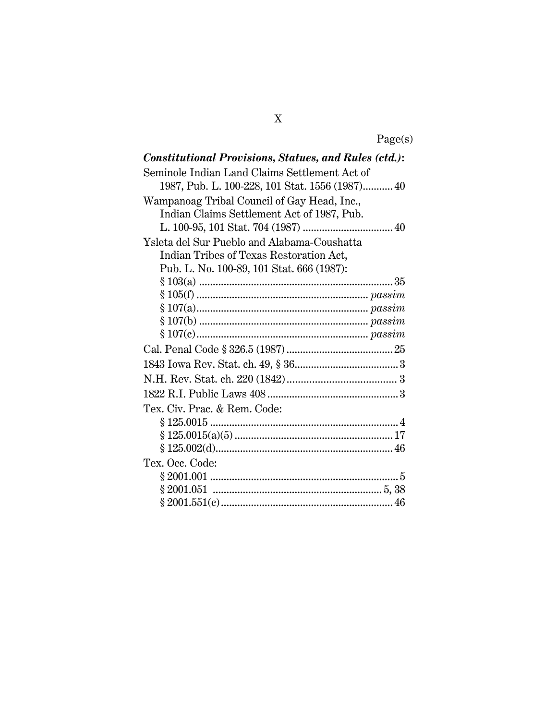| <b>Constitutional Provisions, Statues, and Rules (ctd.):</b> |
|--------------------------------------------------------------|
| Seminole Indian Land Claims Settlement Act of                |
| 1987, Pub. L. 100-228, 101 Stat. 1556 (1987) 40              |
| Wampanoag Tribal Council of Gay Head, Inc.,                  |
| Indian Claims Settlement Act of 1987, Pub.                   |
|                                                              |
| Ysleta del Sur Pueblo and Alabama-Coushatta                  |
| Indian Tribes of Texas Restoration Act,                      |
| Pub. L. No. 100-89, 101 Stat. 666 (1987):                    |
|                                                              |
|                                                              |
|                                                              |
|                                                              |
|                                                              |
|                                                              |
|                                                              |
|                                                              |
|                                                              |
| Tex. Civ. Prac. & Rem. Code:                                 |
|                                                              |
|                                                              |
|                                                              |
| Tex. Occ. Code:                                              |
|                                                              |
|                                                              |
|                                                              |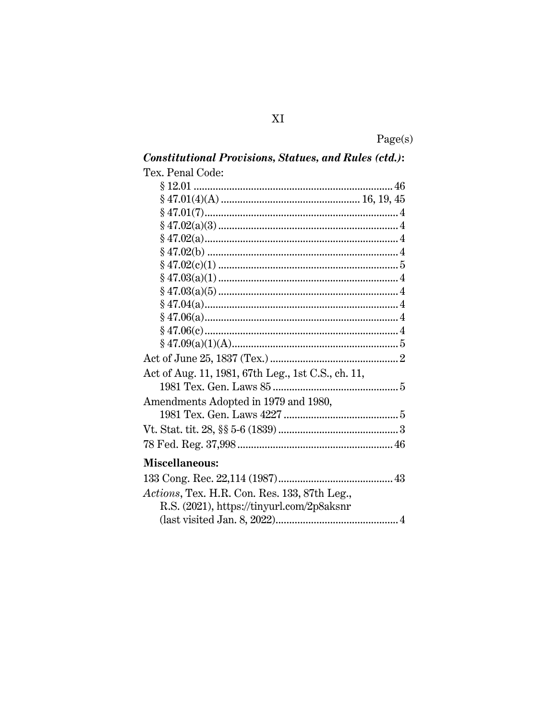XI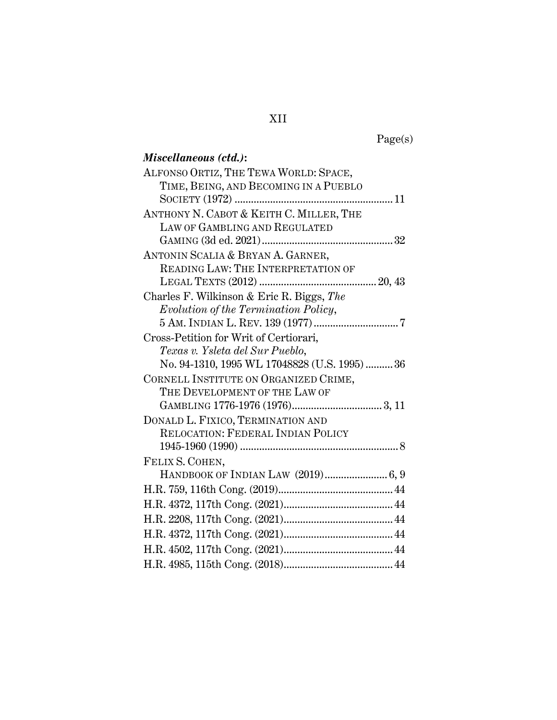# *Miscellaneous (ctd.)***:**

| ALFONSO ORTIZ, THE TEWA WORLD: SPACE,         |
|-----------------------------------------------|
| TIME, BEING, AND BECOMING IN A PUEBLO         |
|                                               |
| ANTHONY N. CABOT & KEITH C. MILLER, THE       |
| LAW OF GAMBLING AND REGULATED                 |
|                                               |
| ANTONIN SCALIA & BRYAN A. GARNER,             |
| READING LAW: THE INTERPRETATION OF            |
|                                               |
| Charles F. Wilkinson & Eric R. Biggs, The     |
| Evolution of the Termination Policy,          |
|                                               |
| Cross-Petition for Writ of Certiorari,        |
| Texas v. Ysleta del Sur Pueblo,               |
| No. 94-1310, 1995 WL 17048828 (U.S. 1995)  36 |
| CORNELL INSTITUTE ON ORGANIZED CRIME,         |
| THE DEVELOPMENT OF THE LAW OF                 |
|                                               |
| DONALD L. FIXICO, TERMINATION AND             |
| RELOCATION: FEDERAL INDIAN POLICY             |
|                                               |
| FELIX S. COHEN,                               |
| HANDBOOK OF INDIAN LAW (2019) 6, 9            |
|                                               |
|                                               |
|                                               |
|                                               |
|                                               |
|                                               |

XII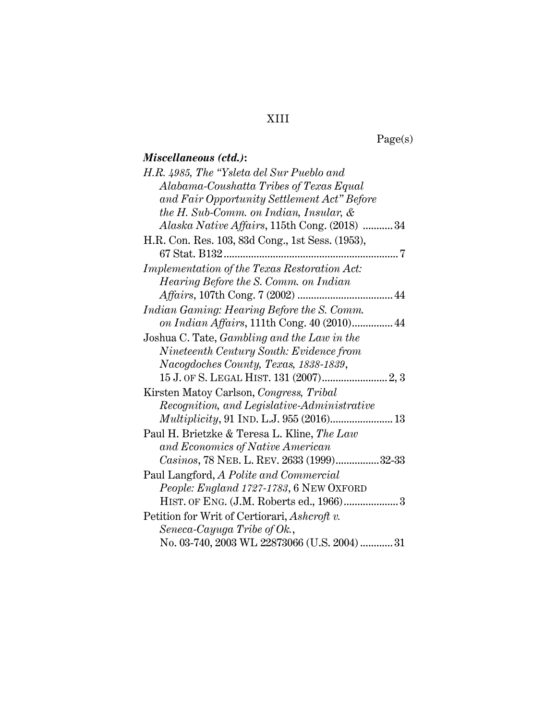# XIII

Page(s)

# *Miscellaneous (ctd.)***:**

| H.R. 4985, The "Ysleta del Sur Pueblo and          |  |  |  |
|----------------------------------------------------|--|--|--|
| Alabama-Coushatta Tribes of Texas Equal            |  |  |  |
| and Fair Opportunity Settlement Act" Before        |  |  |  |
| the H. Sub-Comm. on Indian, Insular, &             |  |  |  |
| Alaska Native Affairs, 115th Cong. (2018) 34       |  |  |  |
| H.R. Con. Res. 103, 83d Cong., 1st Sess. (1953),   |  |  |  |
| 67 Stat. B132                                      |  |  |  |
| Implementation of the Texas Restoration Act:       |  |  |  |
| Hearing Before the S. Comm. on Indian              |  |  |  |
|                                                    |  |  |  |
| Indian Gaming: Hearing Before the S. Comm.         |  |  |  |
| on Indian Affairs, 111th Cong. 40 (2010) 44        |  |  |  |
| Joshua C. Tate, <i>Gambling and the Law in the</i> |  |  |  |
| Nineteenth Century South: Evidence from            |  |  |  |
| Nacogdoches County, Texas, 1838-1839,              |  |  |  |
|                                                    |  |  |  |
| Kirsten Matoy Carlson, Congress, Tribal            |  |  |  |
| Recognition, and Legislative-Administrative        |  |  |  |
|                                                    |  |  |  |
| Paul H. Brietzke & Teresa L. Kline, The Law        |  |  |  |
| and Economics of Native American                   |  |  |  |
| Casinos, 78 NEB. L. REV. 2633 (1999)32-33          |  |  |  |
| Paul Langford, A Polite and Commercial             |  |  |  |
| People: England 1727-1783, 6 NEW OXFORD            |  |  |  |
| HIST. OF ENG. (J.M. Roberts ed., 1966)3            |  |  |  |
| Petition for Writ of Certiorari, Ashcroft v.       |  |  |  |
| Seneca-Cayuga Tribe of Ok.,                        |  |  |  |
| No. 03-740, 2003 WL 22873066 (U.S. 2004) 31        |  |  |  |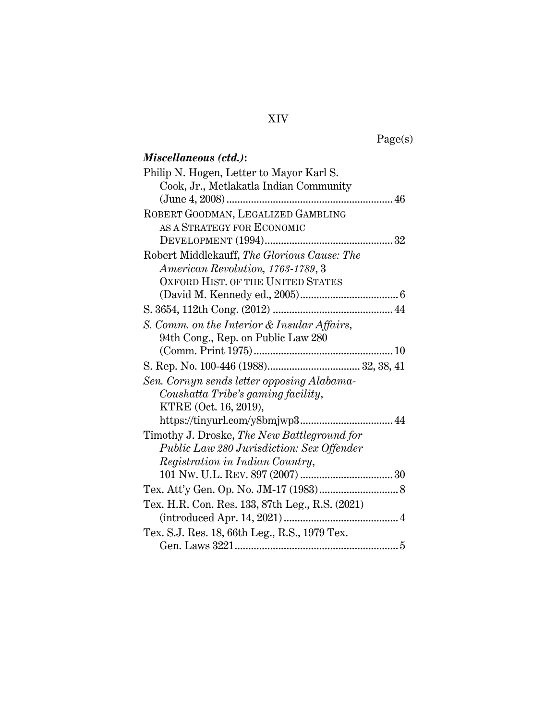# XIV

Page(s)

# *Miscellaneous (ctd.)***:**

| Philip N. Hogen, Letter to Mayor Karl S.        |
|-------------------------------------------------|
| Cook, Jr., Metlakatla Indian Community          |
|                                                 |
| ROBERT GOODMAN, LEGALIZED GAMBLING              |
| AS A STRATEGY FOR ECONOMIC                      |
|                                                 |
| Robert Middlekauff, The Glorious Cause: The     |
| American Revolution, 1763-1789, 3               |
| OXFORD HIST. OF THE UNITED STATES               |
|                                                 |
|                                                 |
| S. Comm. on the Interior & Insular Affairs,     |
| 94th Cong., Rep. on Public Law 280              |
|                                                 |
|                                                 |
| Sen. Cornyn sends letter opposing Alabama-      |
| Coushatta Tribe's gaming facility,              |
| KTRE (Oct. 16, 2019),                           |
|                                                 |
| Timothy J. Droske, The New Battleground for     |
|                                                 |
| Public Law 280 Jurisdiction: Sex Offender       |
| <i>Registration in Indian Country,</i>          |
|                                                 |
|                                                 |
| Tex. H.R. Con. Res. 133, 87th Leg., R.S. (2021) |
|                                                 |
| Tex. S.J. Res. 18, 66th Leg., R.S., 1979 Tex.   |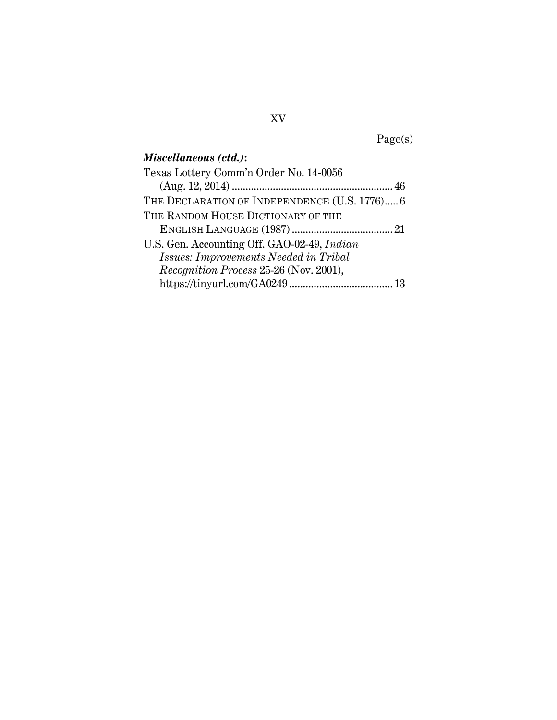# *Miscellaneous (ctd.)***:**

| Texas Lottery Comm'n Order No. 14-0056        |  |
|-----------------------------------------------|--|
|                                               |  |
| THE DECLARATION OF INDEPENDENCE (U.S. 1776) 6 |  |
| THE RANDOM HOUSE DICTIONARY OF THE            |  |
|                                               |  |
| U.S. Gen. Accounting Off. GAO-02-49, Indian   |  |
| <b>Issues:</b> Improvements Needed in Tribal  |  |
| <i>Recognition Process</i> 25-26 (Nov. 2001), |  |
|                                               |  |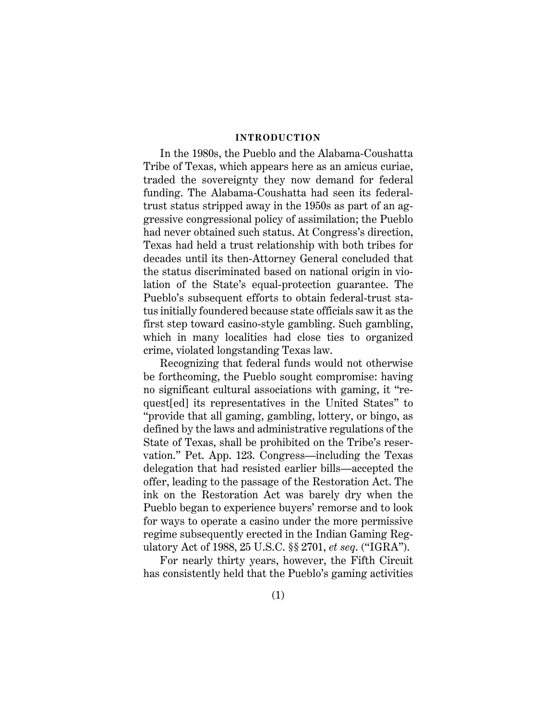#### **INTRODUCTION**

<span id="page-16-0"></span>In the 1980s, the Pueblo and the Alabama-Coushatta Tribe of Texas, which appears here as an amicus curiae, traded the sovereignty they now demand for federal funding. The Alabama-Coushatta had seen its federaltrust status stripped away in the 1950s as part of an aggressive congressional policy of assimilation; the Pueblo had never obtained such status. At Congress's direction, Texas had held a trust relationship with both tribes for decades until its then-Attorney General concluded that the status discriminated based on national origin in violation of the State's equal-protection guarantee. The Pueblo's subsequent efforts to obtain federal-trust status initially foundered because state officials saw it as the first step toward casino-style gambling. Such gambling, which in many localities had close ties to organized crime, violated longstanding Texas law.

Recognizing that federal funds would not otherwise be forthcoming, the Pueblo sought compromise: having no significant cultural associations with gaming, it "request[ed] its representatives in the United States" to "provide that all gaming, gambling, lottery, or bingo, as defined by the laws and administrative regulations of the State of Texas, shall be prohibited on the Tribe's reservation." Pet. App. 123. Congress—including the Texas delegation that had resisted earlier bills—accepted the offer, leading to the passage of the Restoration Act. The ink on the Restoration Act was barely dry when the Pueblo began to experience buyers' remorse and to look for ways to operate a casino under the more permissive regime subsequently erected in the Indian Gaming Regulatory Act of 1988, 25 U.S.C. §§ 2701, *et seq*. ("IGRA").

For nearly thirty years, however, the Fifth Circuit has consistently held that the Pueblo's gaming activities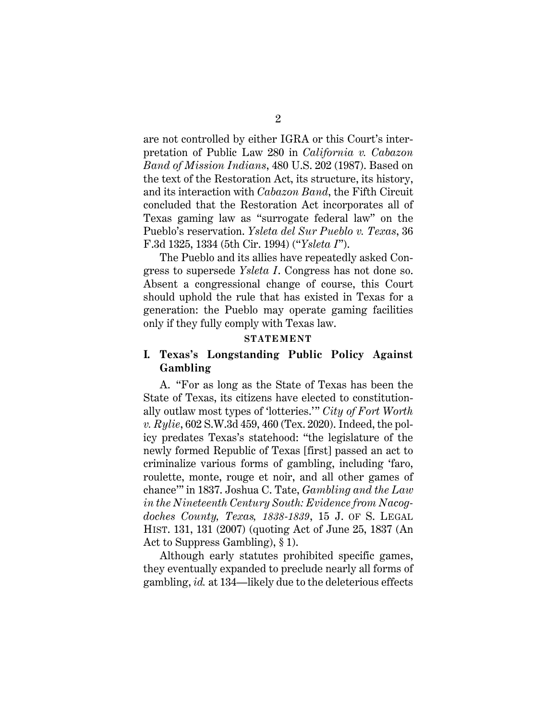are not controlled by either IGRA or this Court's interpretation of Public Law 280 in *California v. Cabazon Band of Mission Indians*, 480 U.S. 202 (1987). Based on the text of the Restoration Act, its structure, its history, and its interaction with *Cabazon Band*, the Fifth Circuit concluded that the Restoration Act incorporates all of Texas gaming law as "surrogate federal law" on the Pueblo's reservation. *Ysleta del Sur Pueblo v. Texas*, 36 F.3d 1325, 1334 (5th Cir. 1994) ("*Ysleta I*").

The Pueblo and its allies have repeatedly asked Congress to supersede *Ysleta I*. Congress has not done so. Absent a congressional change of course, this Court should uphold the rule that has existed in Texas for a generation: the Pueblo may operate gaming facilities only if they fully comply with Texas law.

#### <span id="page-17-2"></span>**STATEMENT**

### <span id="page-17-1"></span><span id="page-17-0"></span>**I. Texas's Longstanding Public Policy Against Gambling**

A. "For as long as the State of Texas has been the State of Texas, its citizens have elected to constitutionally outlaw most types of 'lotteries.'" *City of Fort Worth v. Rylie*, 602 S.W.3d 459, 460 (Tex. 2020). Indeed, the policy predates Texas's statehood: "the legislature of the newly formed Republic of Texas [first] passed an act to criminalize various forms of gambling, including 'faro, roulette, monte, rouge et noir, and all other games of chance'" in 1837. Joshua C. Tate, *Gambling and the Law in the Nineteenth Century South: Evidence from Nacogdoches County, Texas, 1838-1839*, 15 J. OF S. LEGAL HIST. 131, 131 (2007) (quoting Act of June 25, 1837 (An Act to Suppress Gambling), § 1).

<span id="page-17-4"></span><span id="page-17-3"></span>Although early statutes prohibited specific games, they eventually expanded to preclude nearly all forms of gambling, *id.* at 134—likely due to the deleterious effects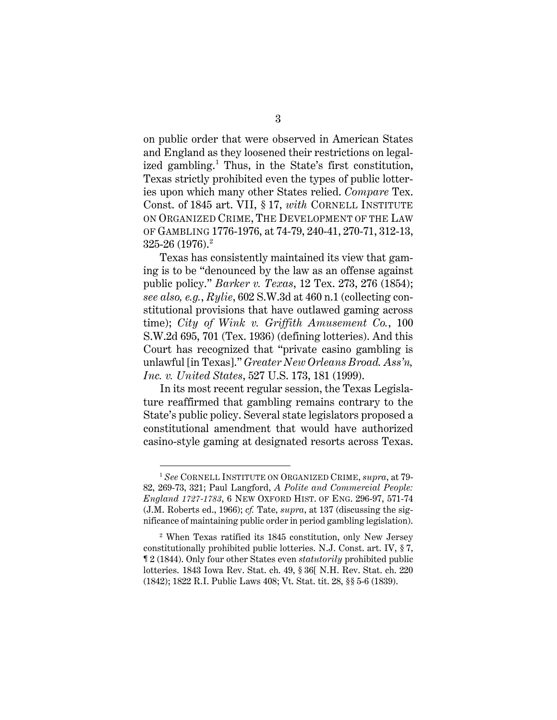<span id="page-18-5"></span>on public order that were observed in American States and England as they loosened their restrictions on legal-ized gambling.<sup>[1](#page-18-12)</sup> Thus, in the State's first constitution, Texas strictly prohibited even the types of public lotteries upon which many other States relied. *Compare* Tex. Const. of 1845 art. VII, § 17, *with* CORNELL INSTITUTE ON ORGANIZED CRIME, THE DEVELOPMENT OF THE LAW OF GAMBLING 1776-1976, at 74-79, 240-41, 270-71, 312-13,  $325\text{-}26\ (1976).^2$  $325\text{-}26\ (1976).^2$  $325\text{-}26\ (1976).^2$ 

<span id="page-18-2"></span><span id="page-18-1"></span><span id="page-18-0"></span>Texas has consistently maintained its view that gaming is to be "denounced by the law as an offense against public policy." *Barker v. Texas*, 12 Tex. 273, 276 (1854); *see also, e.g.*, *Rylie*, 602 S.W.3d at 460 n.1 (collecting constitutional provisions that have outlawed gaming across time); *City of Wink v. Griffith Amusement Co.*, 100 S.W.2d 695, 701 (Tex. 1936) (defining lotteries). And this Court has recognized that "private casino gambling is unlawful [in Texas]." *Greater New Orleans Broad. Ass'n, Inc. v. United States*, 527 U.S. 173, 181 (1999).

<span id="page-18-3"></span>In its most recent regular session, the Texas Legislature reaffirmed that gambling remains contrary to the State's public policy. Several state legislators proposed a constitutional amendment that would have authorized casino-style gaming at designated resorts across Texas.

<span id="page-18-12"></span><span id="page-18-11"></span><span id="page-18-10"></span><sup>1</sup> *See* CORNELL INSTITUTE ON ORGANIZED CRIME, *supra*, at 79- 82, 269-73, 321; Paul Langford, *A Polite and Commercial People: England 1727-1783*, 6 NEW OXFORD HIST. OF ENG. 296-97, 571-74 (J.M. Roberts ed., 1966); *cf.* Tate, *supra*, at 137 (discussing the significance of maintaining public order in period gambling legislation).

<span id="page-18-13"></span><span id="page-18-9"></span><span id="page-18-8"></span><span id="page-18-7"></span><span id="page-18-6"></span><span id="page-18-4"></span><sup>2</sup> When Texas ratified its 1845 constitution, only New Jersey constitutionally prohibited public lotteries. N.J. Const. art. IV, § 7, ¶ 2 (1844). Only four other States even *statutorily* prohibited public lotteries. 1843 Iowa Rev. Stat. ch. 49, § 36[ N.H. Rev. Stat. ch. 220 (1842); 1822 R.I. Public Laws 408; Vt. Stat. tit. 28, §§ 5-6 (1839).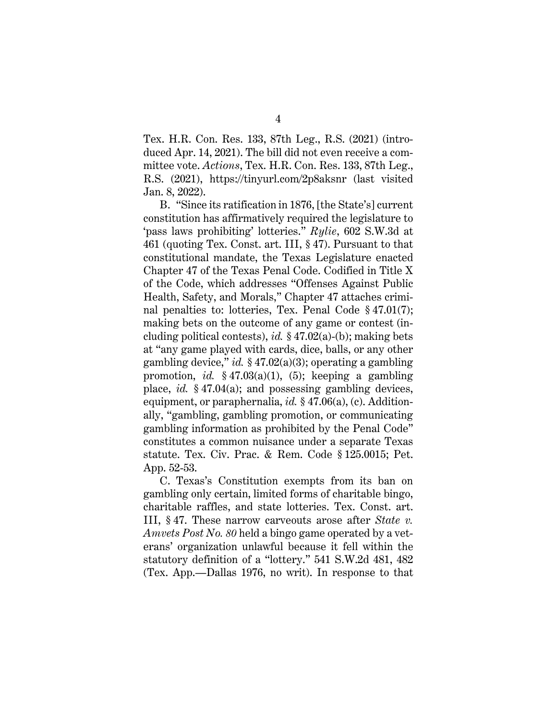<span id="page-19-10"></span><span id="page-19-9"></span>Tex. H.R. Con. Res. 133, 87th Leg., R.S. (2021) (introduced Apr. 14, 2021). The bill did not even receive a committee vote. *Actions*, Tex. H.R. Con. Res. 133, 87th Leg., R.S. (2021), https://tinyurl.com/2p8aksnr (last visited Jan. 8, 2022).

<span id="page-19-5"></span><span id="page-19-3"></span><span id="page-19-0"></span>B. "Since its ratification in 1876, [the State's] current constitution has affirmatively required the legislature to 'pass laws prohibiting' lotteries." *Rylie*, 602 S.W.3d at 461 (quoting Tex. Const. art. III, § 47). Pursuant to that constitutional mandate, the Texas Legislature enacted Chapter 47 of the Texas Penal Code. Codified in Title X of the Code, which addresses "Offenses Against Public Health, Safety, and Morals," Chapter 47 attaches criminal penalties to: lotteries, Tex. Penal Code § 47.01(7); making bets on the outcome of any game or contest (including political contests), *id.* § 47.02(a)-(b); making bets at "any game played with cards, dice, balls, or any other gambling device," *id.* § 47.02(a)(3); operating a gambling promotion, *id.*  $\frac{6}{7}$ ,  $\frac{47.03(a)(1)}{6}$ ; keeping a gambling place, *id.* § 47.04(a); and possessing gambling devices, equipment, or paraphernalia, *id.* § 47.06(a), (c). Additionally, "gambling, gambling promotion, or communicating gambling information as prohibited by the Penal Code" constitutes a common nuisance under a separate Texas statute. Tex. Civ. Prac. & Rem. Code § 125.0015; Pet. App. 52-53.

<span id="page-19-8"></span><span id="page-19-7"></span><span id="page-19-6"></span><span id="page-19-4"></span><span id="page-19-2"></span><span id="page-19-1"></span>C. Texas's Constitution exempts from its ban on gambling only certain, limited forms of charitable bingo, charitable raffles, and state lotteries. Tex. Const. art. III, § 47. These narrow carveouts arose after *State v. Amvets Post No. 80* held a bingo game operated by a veterans' organization unlawful because it fell within the statutory definition of a "lottery." 541 S.W.2d 481, 482 (Tex. App.—Dallas 1976, no writ). In response to that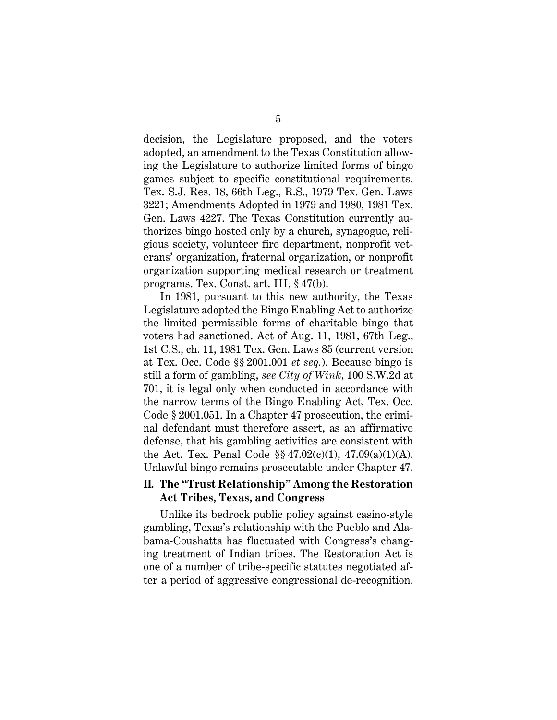<span id="page-20-8"></span><span id="page-20-7"></span>decision, the Legislature proposed, and the voters adopted, an amendment to the Texas Constitution allowing the Legislature to authorize limited forms of bingo games subject to specific constitutional requirements. Tex. S.J. Res. 18, 66th Leg., R.S., 1979 Tex. Gen. Laws 3221; Amendments Adopted in 1979 and 1980, 1981 Tex. Gen. Laws 4227. The Texas Constitution currently authorizes bingo hosted only by a church, synagogue, religious society, volunteer fire department, nonprofit veterans' organization, fraternal organization, or nonprofit organization supporting medical research or treatment programs. Tex. Const. art. III, § 47(b).

<span id="page-20-6"></span><span id="page-20-3"></span><span id="page-20-2"></span><span id="page-20-1"></span>In 1981, pursuant to this new authority, the Texas Legislature adopted the Bingo Enabling Act to authorize the limited permissible forms of charitable bingo that voters had sanctioned. Act of Aug. 11, 1981, 67th Leg., 1st C.S., ch. 11, 1981 Tex. Gen. Laws 85 (current version at Tex. Occ. Code §§ 2001.001 *et seq.*). Because bingo is still a form of gambling, *see City of Wink*, 100 S.W.2d at 701, it is legal only when conducted in accordance with the narrow terms of the Bingo Enabling Act, Tex. Occ. Code § 2001.051. In a Chapter 47 prosecution, the criminal defendant must therefore assert, as an affirmative defense, that his gambling activities are consistent with the Act. Tex. Penal Code  $\S § 47.02(c)(1), 47.09(a)(1)(A)$ . Unlawful bingo remains prosecutable under Chapter 47.

### <span id="page-20-5"></span><span id="page-20-4"></span><span id="page-20-0"></span>**II. The "Trust Relationship" Among the Restoration Act Tribes, Texas, and Congress**

Unlike its bedrock public policy against casino-style gambling, Texas's relationship with the Pueblo and Alabama-Coushatta has fluctuated with Congress's changing treatment of Indian tribes. The Restoration Act is one of a number of tribe-specific statutes negotiated after a period of aggressive congressional de-recognition.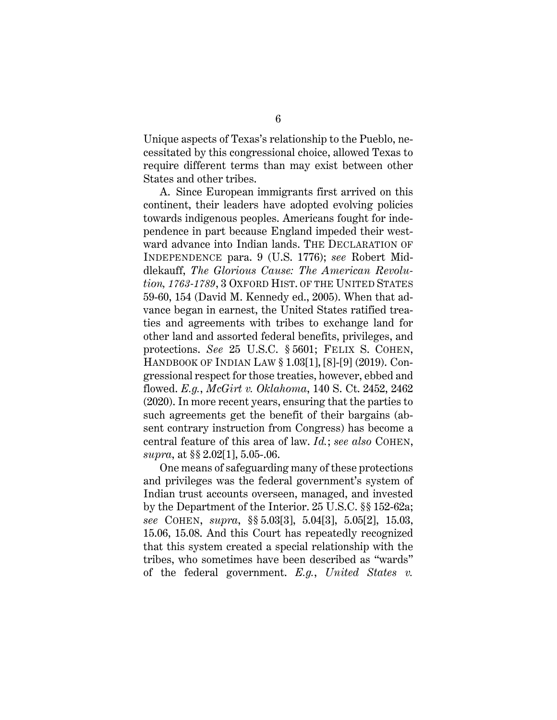Unique aspects of Texas's relationship to the Pueblo, necessitated by this congressional choice, allowed Texas to require different terms than may exist between other States and other tribes.

<span id="page-21-4"></span>A. Since European immigrants first arrived on this continent, their leaders have adopted evolving policies towards indigenous peoples. Americans fought for independence in part because England impeded their westward advance into Indian lands. THE DECLARATION OF INDEPENDENCE para. 9 (U.S. 1776); *see* Robert Middlekauff, *The Glorious Cause: The American Revolution, 1763-1789*, 3 OXFORD HIST. OF THE UNITED STATES 59-60, 154 (David M. Kennedy ed., 2005). When that advance began in earnest, the United States ratified treaties and agreements with tribes to exchange land for other land and assorted federal benefits, privileges, and protections. *See* 25 U.S.C. § 5601; FELIX S. COHEN, HANDBOOK OF INDIAN LAW § 1.03[1], [8]-[9] (2019). Congressional respect for those treaties, however, ebbed and flowed. *E.g.*, *McGirt v. Oklahoma*, 140 S. Ct. 2452, 2462 (2020). In more recent years, ensuring that the parties to such agreements get the benefit of their bargains (absent contrary instruction from Congress) has become a central feature of this area of law. *Id.*; *see also* COHEN, *supra*, at §§ 2.02[1], 5.05-.06.

<span id="page-21-3"></span><span id="page-21-2"></span><span id="page-21-1"></span><span id="page-21-0"></span>One means of safeguarding many of these protections and privileges was the federal government's system of Indian trust accounts overseen, managed, and invested by the Department of the Interior. 25 U.S.C. §§ 152-62a; *see* COHEN, *supra*, §§ 5.03[3], 5.04[3], 5.05[2], 15.03, 15.06, 15.08. And this Court has repeatedly recognized that this system created a special relationship with the tribes, who sometimes have been described as "wards" of the federal government. *E.g.*, *United States v.*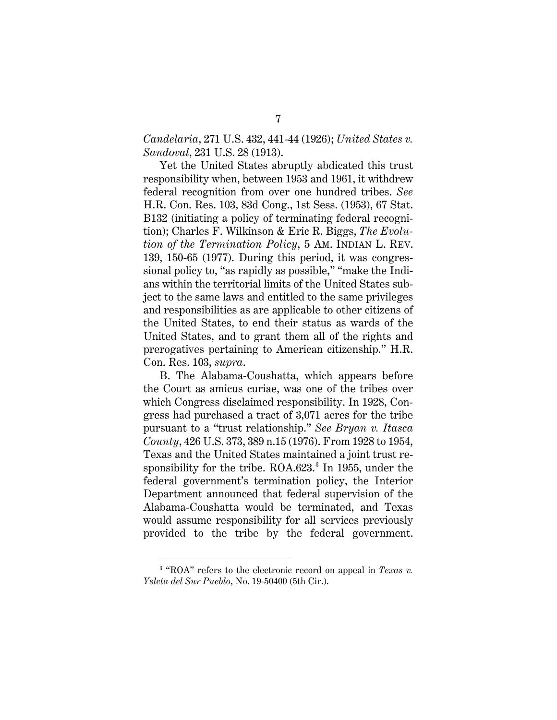<span id="page-22-0"></span>*Candelaria*, 271 U.S. 432, 441-44 (1926); *United States v. Sandoval*, 231 U.S. 28 (1913).

<span id="page-22-2"></span><span id="page-22-1"></span>Yet the United States abruptly abdicated this trust responsibility when, between 1953 and 1961, it withdrew federal recognition from over one hundred tribes. *See*  H.R. Con. Res. 103, 83d Cong., 1st Sess. (1953), 67 Stat. B132 (initiating a policy of terminating federal recognition); Charles F. Wilkinson & Eric R. Biggs, *The Evolution of the Termination Policy*, 5 AM. INDIAN L. REV. 139, 150-65 (1977). During this period, it was congressional policy to, "as rapidly as possible," "make the Indians within the territorial limits of the United States subject to the same laws and entitled to the same privileges and responsibilities as are applicable to other citizens of the United States, to end their status as wards of the United States, and to grant them all of the rights and prerogatives pertaining to American citizenship." H.R. Con. Res. 103, *supra*.

B. The Alabama-Coushatta, which appears before the Court as amicus curiae, was one of the tribes over which Congress disclaimed responsibility. In 1928, Congress had purchased a tract of 3,071 acres for the tribe pursuant to a "trust relationship." *See Bryan v. Itasca County*, 426 U.S. 373, 389 n.15 (1976). From 1928 to 1954, Texas and the United States maintained a joint trust responsibility for the tribe.  $ROA.623$  $ROA.623$ <sup>3</sup> In 1955, under the federal government's termination policy, the Interior Department announced that federal supervision of the Alabama-Coushatta would be terminated, and Texas would assume responsibility for all services previously provided to the tribe by the federal government.

<span id="page-22-3"></span><sup>3</sup> "ROA" refers to the electronic record on appeal in *Texas v. Ysleta del Sur Pueblo*, No. 19-50400 (5th Cir.).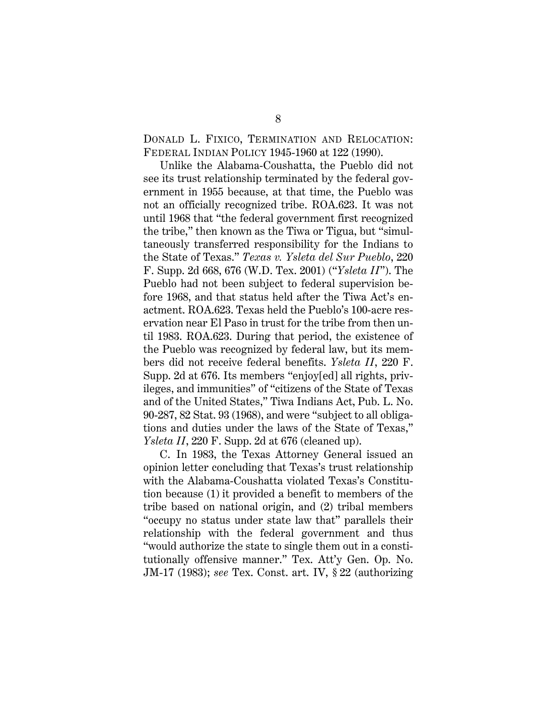<span id="page-23-3"></span>DONALD L. FIXICO, TERMINATION AND RELOCATION: FEDERAL INDIAN POLICY 1945-1960 at 122 (1990).

<span id="page-23-0"></span>Unlike the Alabama-Coushatta, the Pueblo did not see its trust relationship terminated by the federal government in 1955 because, at that time, the Pueblo was not an officially recognized tribe. ROA.623. It was not until 1968 that "the federal government first recognized the tribe," then known as the Tiwa or Tigua, but "simultaneously transferred responsibility for the Indians to the State of Texas." *Texas v. Ysleta del Sur Pueblo*, 220 F. Supp. 2d 668, 676 (W.D. Tex. 2001) ("*Ysleta II*"). The Pueblo had not been subject to federal supervision before 1968, and that status held after the Tiwa Act's enactment. ROA.623. Texas held the Pueblo's 100-acre reservation near El Paso in trust for the tribe from then until 1983. ROA.623. During that period, the existence of the Pueblo was recognized by federal law, but its members did not receive federal benefits. *Ysleta II*, 220 F. Supp. 2d at 676. Its members "enjoy[ed] all rights, privileges, and immunities" of "citizens of the State of Texas and of the United States," Tiwa Indians Act, Pub. L. No. 90-287, 82 Stat. 93 (1968), and were "subject to all obligations and duties under the laws of the State of Texas," *Ysleta II*, 220 F. Supp. 2d at 676 (cleaned up).

<span id="page-23-4"></span><span id="page-23-2"></span><span id="page-23-1"></span>C. In 1983, the Texas Attorney General issued an opinion letter concluding that Texas's trust relationship with the Alabama-Coushatta violated Texas's Constitution because (1) it provided a benefit to members of the tribe based on national origin, and (2) tribal members "occupy no status under state law that" parallels their relationship with the federal government and thus "would authorize the state to single them out in a constitutionally offensive manner." Tex. Att'y Gen. Op. No. JM-17 (1983); *see* Tex. Const. art. IV, § 22 (authorizing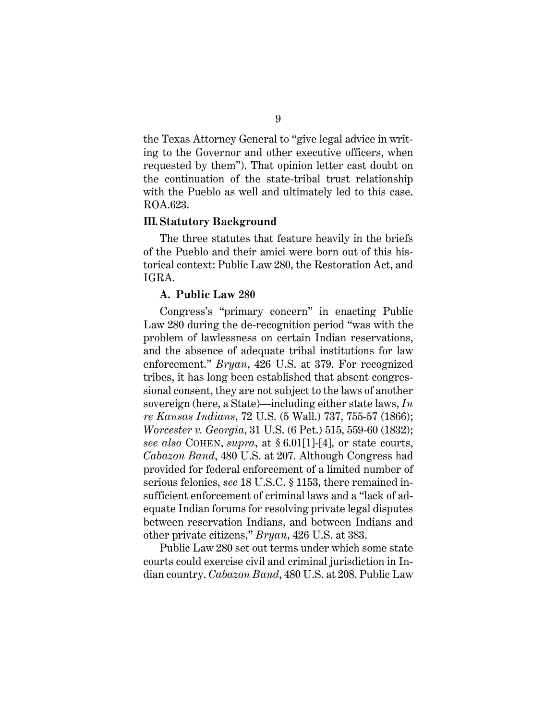the Texas Attorney General to "give legal advice in writing to the Governor and other executive officers, when requested by them"). That opinion letter cast doubt on the continuation of the state-tribal trust relationship with the Pueblo as well and ultimately led to this case. ROA.623.

#### <span id="page-24-0"></span>**III. Statutory Background**

The three statutes that feature heavily in the briefs of the Pueblo and their amici were born out of this historical context: Public Law 280, the Restoration Act, and IGRA.

#### <span id="page-24-2"></span><span id="page-24-1"></span>**A. Public Law 280**

<span id="page-24-3"></span>Congress's "primary concern" in enacting Public Law 280 during the de-recognition period "was with the problem of lawlessness on certain Indian reservations, and the absence of adequate tribal institutions for law enforcement." *Bryan*, 426 U.S. at 379. For recognized tribes, it has long been established that absent congressional consent, they are not subject to the laws of another sovereign (here, a State)—including either state laws, *In re Kansas Indians*, 72 U.S. (5 Wall.) 737, 755-57 (1866); *Worcester v. Georgia*, 31 U.S. (6 Pet.) 515, 559-60 (1832); *see also* COHEN, *supra*, at § 6.01[1]-[4], or state courts, *Cabazon Band*, 480 U.S. at 207. Although Congress had provided for federal enforcement of a limited number of serious felonies, *see* 18 U.S.C. § 1153, there remained insufficient enforcement of criminal laws and a "lack of adequate Indian forums for resolving private legal disputes between reservation Indians, and between Indians and other private citizens," *Bryan*, 426 U.S. at 383.

<span id="page-24-5"></span><span id="page-24-4"></span>Public Law 280 set out terms under which some state courts could exercise civil and criminal jurisdiction in Indian country. *Cabazon Band*, 480 U.S. at 208. Public Law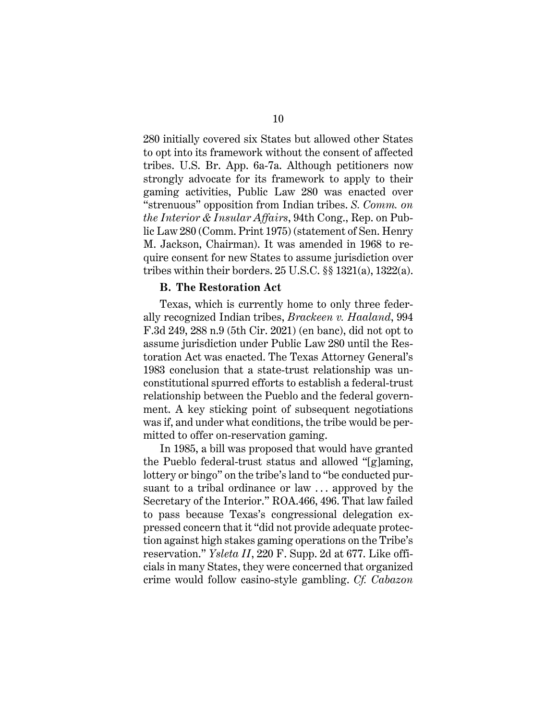280 initially covered six States but allowed other States to opt into its framework without the consent of affected tribes. U.S. Br. App. 6a-7a. Although petitioners now strongly advocate for its framework to apply to their gaming activities, Public Law 280 was enacted over "strenuous" opposition from Indian tribes. *S. Comm. on the Interior & Insular Affairs*, 94th Cong., Rep. on Public Law 280 (Comm. Print 1975) (statement of Sen. Henry M. Jackson, Chairman). It was amended in 1968 to require consent for new States to assume jurisdiction over tribes within their borders. 25 U.S.C. §§ 1321(a), 1322(a).

#### <span id="page-25-4"></span><span id="page-25-3"></span><span id="page-25-1"></span><span id="page-25-0"></span>**B. The Restoration Act**

Texas, which is currently home to only three federally recognized Indian tribes, *Brackeen v. Haaland*, 994 F.3d 249, 288 n.9 (5th Cir. 2021) (en banc), did not opt to assume jurisdiction under Public Law 280 until the Restoration Act was enacted. The Texas Attorney General's 1983 conclusion that a state-trust relationship was unconstitutional spurred efforts to establish a federal-trust relationship between the Pueblo and the federal government. A key sticking point of subsequent negotiations was if, and under what conditions, the tribe would be permitted to offer on-reservation gaming.

<span id="page-25-2"></span>In 1985, a bill was proposed that would have granted the Pueblo federal-trust status and allowed "[g]aming, lottery or bingo" on the tribe's land to "be conducted pursuant to a tribal ordinance or law ... approved by the Secretary of the Interior." ROA.466, 496. That law failed to pass because Texas's congressional delegation expressed concern that it "did not provide adequate protection against high stakes gaming operations on the Tribe's reservation." *Ysleta II*, 220 F. Supp. 2d at 677. Like officials in many States, they were concerned that organized crime would follow casino-style gambling. *Cf. Cabazon*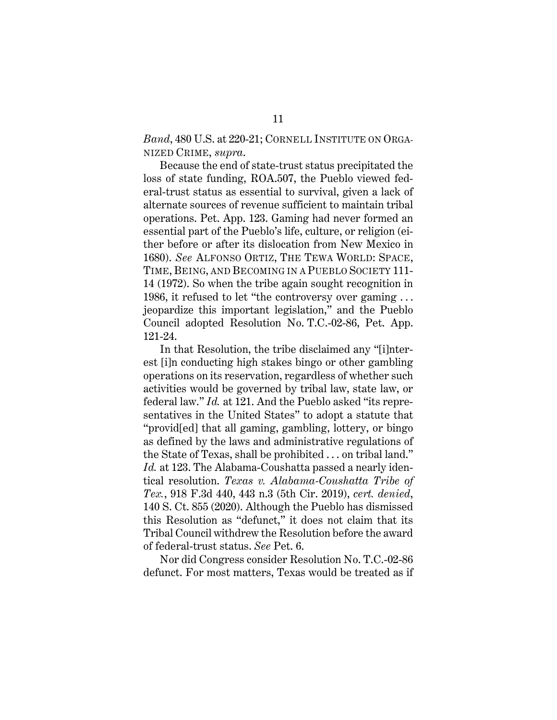*Band*, 480 U.S. at 220-21; CORNELL INSTITUTE ON ORGA-NIZED CRIME, *supra*.

<span id="page-26-1"></span>Because the end of state-trust status precipitated the loss of state funding, ROA.507, the Pueblo viewed federal-trust status as essential to survival, given a lack of alternate sources of revenue sufficient to maintain tribal operations. Pet. App. 123. Gaming had never formed an essential part of the Pueblo's life, culture, or religion (either before or after its dislocation from New Mexico in 1680). *See* ALFONSO ORTIZ, THE TEWA WORLD: SPACE, TIME, BEING, AND BECOMING IN A PUEBLO SOCIETY 111- 14 (1972). So when the tribe again sought recognition in 1986, it refused to let "the controversy over gaming . . . jeopardize this important legislation," and the Pueblo Council adopted Resolution No. T.C.-02-86, Pet. App. 121-24.

In that Resolution, the tribe disclaimed any "[i]nterest [i]n conducting high stakes bingo or other gambling operations on its reservation, regardless of whether such activities would be governed by tribal law, state law, or federal law." *Id.* at 121. And the Pueblo asked "its representatives in the United States" to adopt a statute that "provid[ed] that all gaming, gambling, lottery, or bingo as defined by the laws and administrative regulations of the State of Texas, shall be prohibited . . . on tribal land." Id. at 123. The Alabama-Coushatta passed a nearly identical resolution. *Texas v. Alabama-Coushatta Tribe of Tex.*, 918 F.3d 440, 443 n.3 (5th Cir. 2019), *cert. denied*, 140 S. Ct. 855 (2020). Although the Pueblo has dismissed this Resolution as "defunct," it does not claim that its Tribal Council withdrew the Resolution before the award of federal-trust status. *See* Pet. 6.

<span id="page-26-0"></span>Nor did Congress consider Resolution No. T.C.-02-86 defunct. For most matters, Texas would be treated as if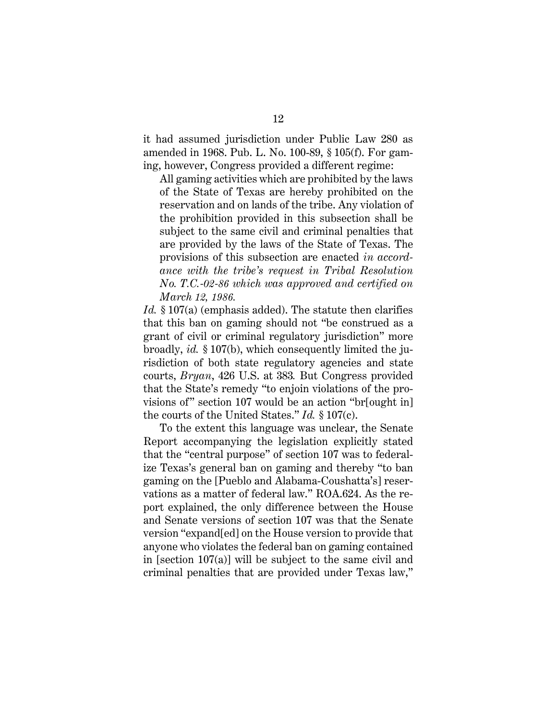it had assumed jurisdiction under Public Law 280 as amended in 1968. Pub. L. No. 100-89, § 105(f). For gaming, however, Congress provided a different regime:

All gaming activities which are prohibited by the laws of the State of Texas are hereby prohibited on the reservation and on lands of the tribe. Any violation of the prohibition provided in this subsection shall be subject to the same civil and criminal penalties that are provided by the laws of the State of Texas. The provisions of this subsection are enacted *in accordance with the tribe's request in Tribal Resolution No. T.C.-02-86 which was approved and certified on March 12, 1986.*

*Id.* § 107(a) (emphasis added). The statute then clarifies that this ban on gaming should not "be construed as a grant of civil or criminal regulatory jurisdiction" more broadly, *id.* § 107(b), which consequently limited the jurisdiction of both state regulatory agencies and state courts, *Bryan*, 426 U.S. at 383*.* But Congress provided that the State's remedy "to enjoin violations of the provisions of" section 107 would be an action "br[ought in] the courts of the United States." *Id.* § 107(c).

To the extent this language was unclear, the Senate Report accompanying the legislation explicitly stated that the "central purpose" of section 107 was to federalize Texas's general ban on gaming and thereby "to ban gaming on the [Pueblo and Alabama-Coushatta's] reservations as a matter of federal law." ROA.624. As the report explained, the only difference between the House and Senate versions of section 107 was that the Senate version "expand[ed] on the House version to provide that anyone who violates the federal ban on gaming contained in [section 107(a)] will be subject to the same civil and criminal penalties that are provided under Texas law,"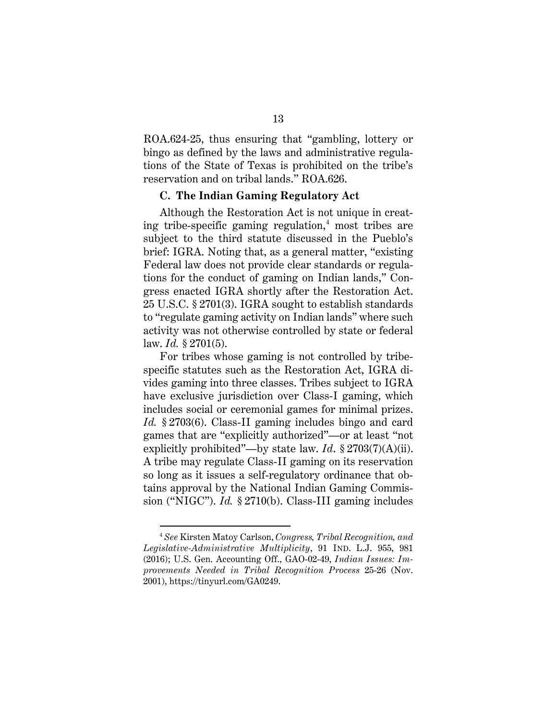ROA.624-25, thus ensuring that "gambling, lottery or bingo as defined by the laws and administrative regulations of the State of Texas is prohibited on the tribe's reservation and on tribal lands." ROA.626.

### <span id="page-28-1"></span><span id="page-28-0"></span>**C. The Indian Gaming Regulatory Act**

Although the Restoration Act is not unique in creating tribe-specific gaming regulation, [4](#page-28-7) most tribes are subject to the third statute discussed in the Pueblo's brief: IGRA. Noting that, as a general matter, "existing Federal law does not provide clear standards or regulations for the conduct of gaming on Indian lands," Congress enacted IGRA shortly after the Restoration Act. 25 U.S.C. § 2701(3). IGRA sought to establish standards to "regulate gaming activity on Indian lands" where such activity was not otherwise controlled by state or federal law. *Id.* § 2701(5).

<span id="page-28-4"></span><span id="page-28-3"></span><span id="page-28-2"></span>For tribes whose gaming is not controlled by tribespecific statutes such as the Restoration Act, IGRA divides gaming into three classes. Tribes subject to IGRA have exclusive jurisdiction over Class-I gaming, which includes social or ceremonial games for minimal prizes. *Id.* § 2703(6). Class-II gaming includes bingo and card games that are "explicitly authorized"—or at least "not explicitly prohibited"—by state law. *Id*. § 2703(7)(A)(ii). A tribe may regulate Class-II gaming on its reservation so long as it issues a self-regulatory ordinance that obtains approval by the National Indian Gaming Commission ("NIGC"). *Id.* § 2710(b). Class-III gaming includes

<span id="page-28-7"></span><span id="page-28-6"></span><span id="page-28-5"></span><sup>4</sup> *See* Kirsten Matoy Carlson, *Congress, Tribal Recognition, and Legislative-Administrative Multiplicity*, 91 IND. L.J. 955, 981 (2016); U.S. Gen. Accounting Off., GAO-02-49, *Indian Issues: Improvements Needed in Tribal Recognition Process* 25-26 (Nov. 2001), https://tinyurl.com/GA0249.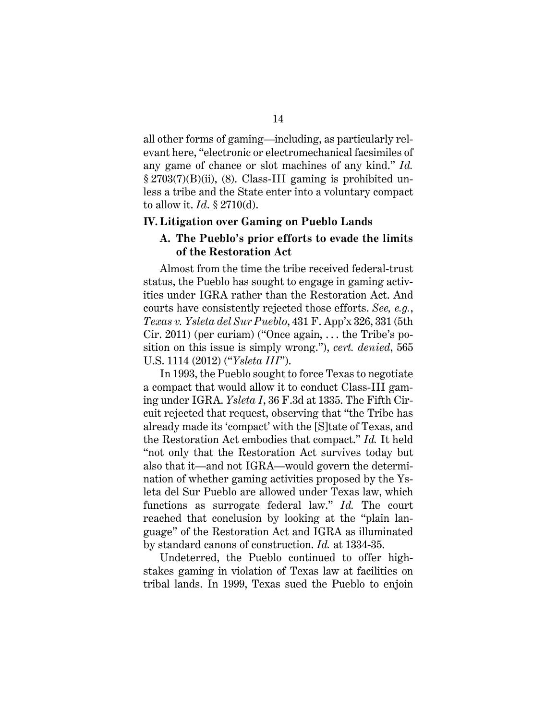all other forms of gaming—including, as particularly relevant here, "electronic or electromechanical facsimiles of any game of chance or slot machines of any kind." *Id.*  § 2703(7)(B)(ii), (8). Class-III gaming is prohibited unless a tribe and the State enter into a voluntary compact to allow it. *Id*. § 2710(d).

#### <span id="page-29-1"></span><span id="page-29-0"></span>**IV. Litigation over Gaming on Pueblo Lands**

### <span id="page-29-4"></span><span id="page-29-3"></span>**A. The Pueblo's prior efforts to evade the limits of the Restoration Act**

<span id="page-29-2"></span>Almost from the time the tribe received federal-trust status, the Pueblo has sought to engage in gaming activities under IGRA rather than the Restoration Act. And courts have consistently rejected those efforts. *See, e.g.*, *Texas v. Ysleta del Sur Pueblo*, 431 F. App'x 326, 331 (5th Cir. 2011) (per curiam) ("Once again, . . . the Tribe's position on this issue is simply wrong."), *cert. denied*, 565 U.S. 1114 (2012) ("*Ysleta III*").

In 1993, the Pueblo sought to force Texas to negotiate a compact that would allow it to conduct Class-III gaming under IGRA. *Ysleta I*, 36 F.3d at 1335. The Fifth Circuit rejected that request, observing that "the Tribe has already made its 'compact' with the [S]tate of Texas, and the Restoration Act embodies that compact." *Id.* It held "not only that the Restoration Act survives today but also that it—and not IGRA—would govern the determination of whether gaming activities proposed by the Ysleta del Sur Pueblo are allowed under Texas law, which functions as surrogate federal law." *Id.* The court reached that conclusion by looking at the "plain language" of the Restoration Act and IGRA as illuminated by standard canons of construction. *Id.* at 1334-35.

Undeterred, the Pueblo continued to offer highstakes gaming in violation of Texas law at facilities on tribal lands. In 1999, Texas sued the Pueblo to enjoin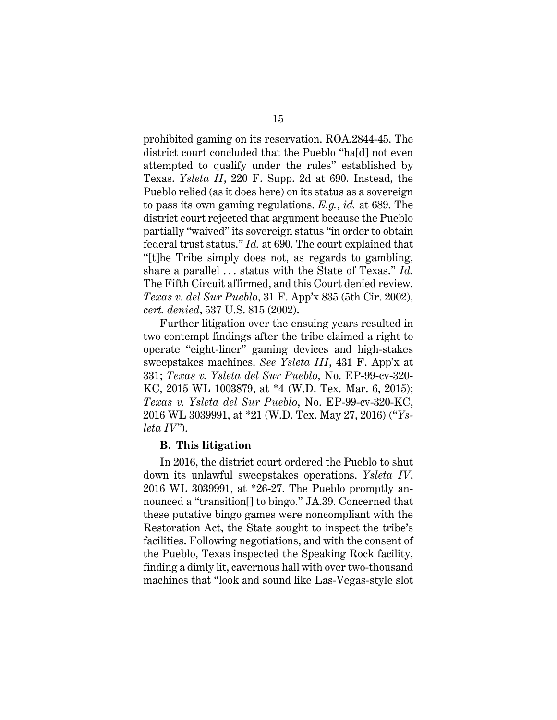<span id="page-30-2"></span>prohibited gaming on its reservation. ROA.2844-45. The district court concluded that the Pueblo "ha[d] not even attempted to qualify under the rules" established by Texas. *Ysleta II*, 220 F. Supp. 2d at 690. Instead, the Pueblo relied (as it does here) on its status as a sovereign to pass its own gaming regulations. *E.g.*, *id.* at 689. The district court rejected that argument because the Pueblo partially "waived" its sovereign status "in order to obtain federal trust status." *Id.* at 690. The court explained that "[t]he Tribe simply does not, as regards to gambling, share a parallel . . . status with the State of Texas." *Id.* The Fifth Circuit affirmed, and this Court denied review. *Texas v. del Sur Pueblo*, 31 F. App'x 835 (5th Cir. 2002), *cert. denied*, 537 U.S. 815 (2002).

<span id="page-30-4"></span><span id="page-30-3"></span><span id="page-30-1"></span>Further litigation over the ensuing years resulted in two contempt findings after the tribe claimed a right to operate "eight-liner" gaming devices and high-stakes sweepstakes machines. *See Ysleta III*, 431 F. App'x at 331; *Texas v. Ysleta del Sur Pueblo*, No. EP-99-cv-320- KC, 2015 WL 1003879, at \*4 (W.D. Tex. Mar. 6, 2015); *Texas v. Ysleta del Sur Pueblo*, No. EP-99-cv-320-KC, 2016 WL 3039991, at \*21 (W.D. Tex. May 27, 2016) ("*Ysleta IV"*).

#### <span id="page-30-5"></span><span id="page-30-0"></span>**B. This litigation**

In 2016, the district court ordered the Pueblo to shut down its unlawful sweepstakes operations. *Ysleta IV*, 2016 WL 3039991, at \*26-27. The Pueblo promptly announced a "transition[] to bingo." JA.39. Concerned that these putative bingo games were noncompliant with the Restoration Act, the State sought to inspect the tribe's facilities. Following negotiations, and with the consent of the Pueblo, Texas inspected the Speaking Rock facility, finding a dimly lit, cavernous hall with over two-thousand machines that "look and sound like Las-Vegas-style slot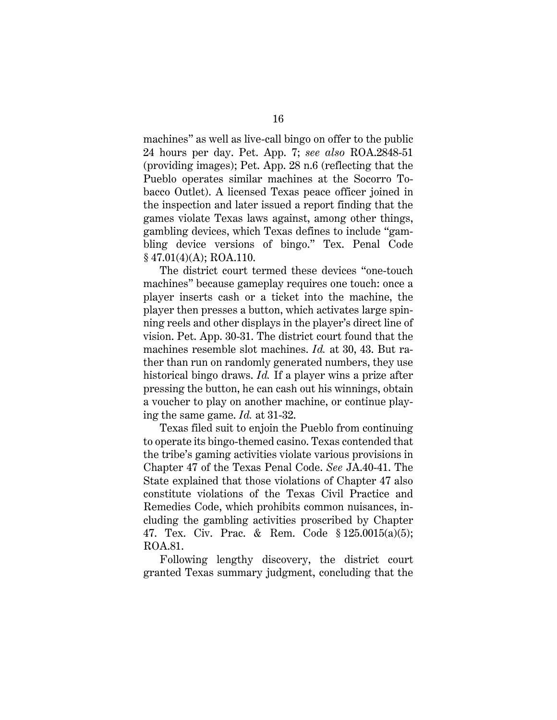machines" as well as live-call bingo on offer to the public 24 hours per day. Pet. App. 7; *see also* ROA.2848-51 (providing images); Pet. App. 28 n.6 (reflecting that the Pueblo operates similar machines at the Socorro Tobacco Outlet). A licensed Texas peace officer joined in the inspection and later issued a report finding that the games violate Texas laws against, among other things, gambling devices, which Texas defines to include "gambling device versions of bingo." Tex. Penal Code  $§$  47.01(4)(A); ROA.110.

<span id="page-31-1"></span>The district court termed these devices "one-touch machines" because gameplay requires one touch: once a player inserts cash or a ticket into the machine, the player then presses a button, which activates large spinning reels and other displays in the player's direct line of vision. Pet. App. 30-31. The district court found that the machines resemble slot machines. *Id.* at 30, 43. But rather than run on randomly generated numbers, they use historical bingo draws. *Id.* If a player wins a prize after pressing the button, he can cash out his winnings, obtain a voucher to play on another machine, or continue playing the same game. *Id.* at 31-32.

Texas filed suit to enjoin the Pueblo from continuing to operate its bingo-themed casino. Texas contended that the tribe's gaming activities violate various provisions in Chapter 47 of the Texas Penal Code. *See* JA.40-41. The State explained that those violations of Chapter 47 also constitute violations of the Texas Civil Practice and Remedies Code, which prohibits common nuisances, including the gambling activities proscribed by Chapter 47. Tex. Civ. Prac. & Rem. Code § 125.0015(a)(5); ROA.81.

<span id="page-31-0"></span>Following lengthy discovery, the district court granted Texas summary judgment, concluding that the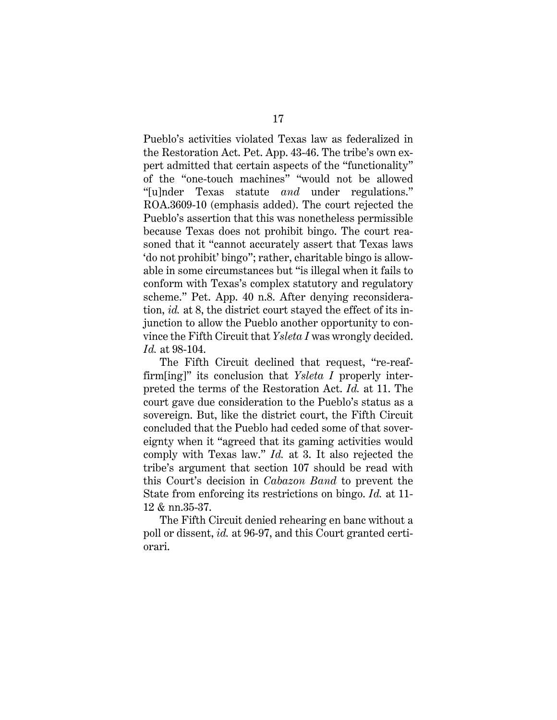Pueblo's activities violated Texas law as federalized in the Restoration Act. Pet. App. 43-46. The tribe's own expert admitted that certain aspects of the "functionality" of the "one-touch machines" "would not be allowed "[u]nder Texas statute *and* under regulations." ROA.3609-10 (emphasis added). The court rejected the Pueblo's assertion that this was nonetheless permissible because Texas does not prohibit bingo. The court reasoned that it "cannot accurately assert that Texas laws 'do not prohibit' bingo"; rather, charitable bingo is allowable in some circumstances but "is illegal when it fails to conform with Texas's complex statutory and regulatory scheme." Pet. App. 40 n.8. After denying reconsideration, *id.* at 8, the district court stayed the effect of its injunction to allow the Pueblo another opportunity to convince the Fifth Circuit that *Ysleta I* was wrongly decided. *Id.* at 98-104.

The Fifth Circuit declined that request, "re-reaffirm[ing]" its conclusion that *Ysleta I* properly interpreted the terms of the Restoration Act. *Id.* at 11. The court gave due consideration to the Pueblo's status as a sovereign. But, like the district court, the Fifth Circuit concluded that the Pueblo had ceded some of that sovereignty when it "agreed that its gaming activities would comply with Texas law." *Id.* at 3. It also rejected the tribe's argument that section 107 should be read with this Court's decision in *Cabazon Band* to prevent the State from enforcing its restrictions on bingo. *Id.* at 11- 12 & nn.35-37.

The Fifth Circuit denied rehearing en banc without a poll or dissent, *id.* at 96-97, and this Court granted certiorari.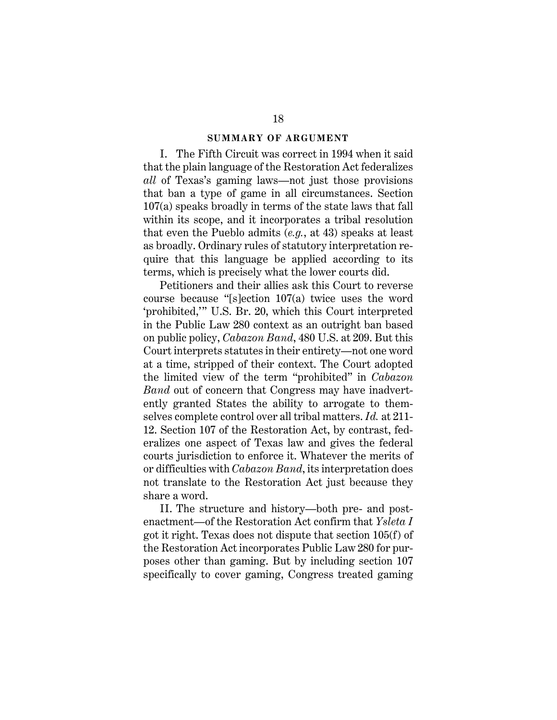#### **SUMMARY OF ARGUMENT**

<span id="page-33-0"></span>I. The Fifth Circuit was correct in 1994 when it said that the plain language of the Restoration Act federalizes *all* of Texas's gaming laws—not just those provisions that ban a type of game in all circumstances. Section 107(a) speaks broadly in terms of the state laws that fall within its scope, and it incorporates a tribal resolution that even the Pueblo admits (*e.g.*, at 43) speaks at least as broadly. Ordinary rules of statutory interpretation require that this language be applied according to its terms, which is precisely what the lower courts did.

Petitioners and their allies ask this Court to reverse course because "[s]ection 107(a) twice uses the word 'prohibited,'" U.S. Br. 20, which this Court interpreted in the Public Law 280 context as an outright ban based on public policy, *Cabazon Band*, 480 U.S. at 209. But this Court interprets statutes in their entirety—not one word at a time, stripped of their context. The Court adopted the limited view of the term "prohibited" in *Cabazon Band* out of concern that Congress may have inadvertently granted States the ability to arrogate to themselves complete control over all tribal matters. *Id.* at 211- 12. Section 107 of the Restoration Act, by contrast, federalizes one aspect of Texas law and gives the federal courts jurisdiction to enforce it. Whatever the merits of or difficulties with *Cabazon Band*, its interpretation does not translate to the Restoration Act just because they share a word.

II. The structure and history—both pre- and postenactment—of the Restoration Act confirm that *Ysleta I*  got it right. Texas does not dispute that section 105(f) of the Restoration Act incorporates Public Law 280 for purposes other than gaming. But by including section 107 specifically to cover gaming, Congress treated gaming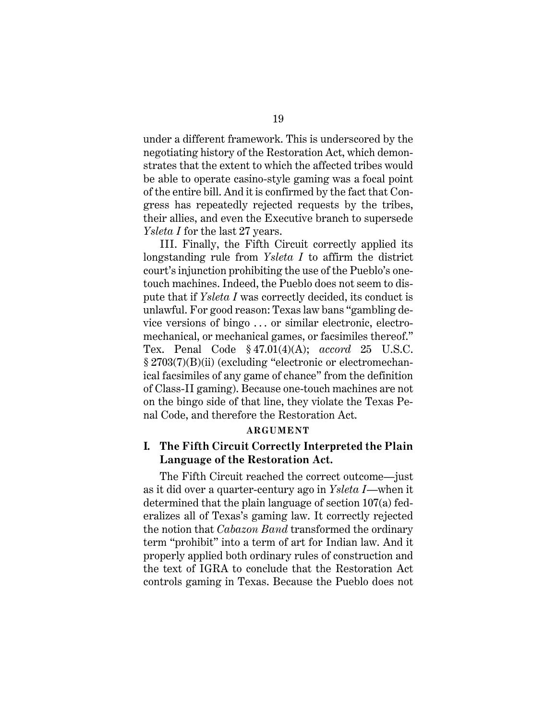under a different framework. This is underscored by the negotiating history of the Restoration Act, which demonstrates that the extent to which the affected tribes would be able to operate casino-style gaming was a focal point of the entire bill. And it is confirmed by the fact that Congress has repeatedly rejected requests by the tribes, their allies, and even the Executive branch to supersede *Ysleta I* for the last 27 years.

III. Finally, the Fifth Circuit correctly applied its longstanding rule from *Ysleta I* to affirm the district court's injunction prohibiting the use of the Pueblo's onetouch machines. Indeed, the Pueblo does not seem to dispute that if *Ysleta I* was correctly decided, its conduct is unlawful. For good reason: Texas law bans "gambling device versions of bingo . . . or similar electronic, electromechanical, or mechanical games, or facsimiles thereof." Tex. Penal Code § 47.01(4)(A); *accord* 25 U.S.C. § 2703(7)(B)(ii) (excluding "electronic or electromechanical facsimiles of any game of chance" from the definition of Class-II gaming). Because one-touch machines are not on the bingo side of that line, they violate the Texas Penal Code, and therefore the Restoration Act.

#### <span id="page-34-2"></span>**ARGUMENT**

## <span id="page-34-3"></span><span id="page-34-1"></span><span id="page-34-0"></span>**I. The Fifth Circuit Correctly Interpreted the Plain Language of the Restoration Act.**

The Fifth Circuit reached the correct outcome—just as it did over a quarter-century ago in *Ysleta I*—when it determined that the plain language of section 107(a) federalizes all of Texas's gaming law. It correctly rejected the notion that *Cabazon Band* transformed the ordinary term "prohibit" into a term of art for Indian law. And it properly applied both ordinary rules of construction and the text of IGRA to conclude that the Restoration Act controls gaming in Texas. Because the Pueblo does not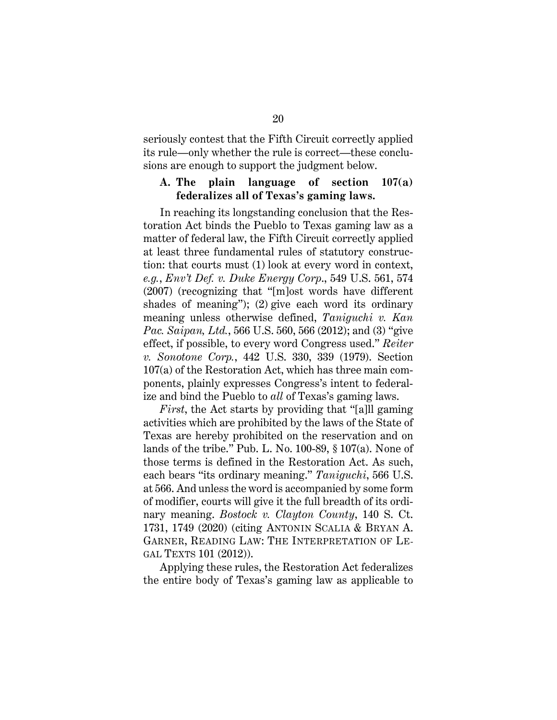seriously contest that the Fifth Circuit correctly applied its rule—only whether the rule is correct—these conclusions are enough to support the judgment below.

### <span id="page-35-0"></span>**A. The plain language of section 107(a) federalizes all of Texas's gaming laws.**

<span id="page-35-2"></span>In reaching its longstanding conclusion that the Restoration Act binds the Pueblo to Texas gaming law as a matter of federal law, the Fifth Circuit correctly applied at least three fundamental rules of statutory construction: that courts must (1) look at every word in context, *e.g.*, *Env't Def. v. Duke Energy Corp*., 549 U.S. 561, 574 (2007) (recognizing that "[m]ost words have different shades of meaning"); (2) give each word its ordinary meaning unless otherwise defined, *Taniguchi v. Kan Pac. Saipan, Ltd.*, 566 U.S. 560, 566 (2012); and (3) "give effect, if possible, to every word Congress used." *Reiter v. Sonotone Corp.*, 442 U.S. 330, 339 (1979). Section 107(a) of the Restoration Act, which has three main components, plainly expresses Congress's intent to federalize and bind the Pueblo to *all* of Texas's gaming laws.

<span id="page-35-4"></span><span id="page-35-3"></span>*First*, the Act starts by providing that "[a]ll gaming activities which are prohibited by the laws of the State of Texas are hereby prohibited on the reservation and on lands of the tribe." Pub. L. No. 100-89, § 107(a). None of those terms is defined in the Restoration Act. As such, each bears "its ordinary meaning." *Taniguchi*, 566 U.S. at 566. And unless the word is accompanied by some form of modifier, courts will give it the full breadth of its ordinary meaning. *Bostock v. Clayton County*, 140 S. Ct. 1731, 1749 (2020) (citing ANTONIN SCALIA & BRYAN A. GARNER, READING LAW: THE INTERPRETATION OF LE-GAL TEXTS 101 (2012)).

<span id="page-35-5"></span><span id="page-35-1"></span>Applying these rules, the Restoration Act federalizes the entire body of Texas's gaming law as applicable to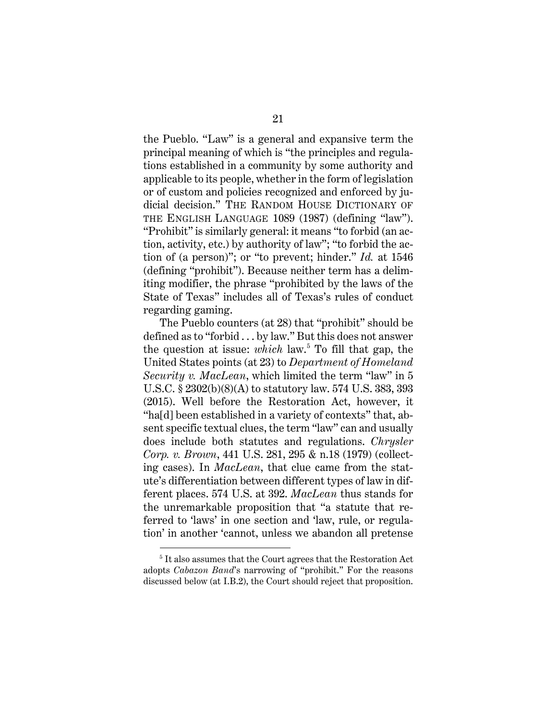<span id="page-36-4"></span>the Pueblo. "Law" is a general and expansive term the principal meaning of which is "the principles and regulations established in a community by some authority and applicable to its people, whether in the form of legislation or of custom and policies recognized and enforced by judicial decision." THE RANDOM HOUSE DICTIONARY OF THE ENGLISH LANGUAGE 1089 (1987) (defining "law"). "Prohibit" is similarly general: it means "to forbid (an action, activity, etc.) by authority of law"; "to forbid the action of (a person)"; or "to prevent; hinder." *Id.* at 1546 (defining "prohibit"). Because neither term has a delimiting modifier, the phrase "prohibited by the laws of the State of Texas" includes all of Texas's rules of conduct regarding gaming.

<span id="page-36-3"></span><span id="page-36-1"></span><span id="page-36-0"></span>The Pueblo counters (at 28) that "prohibit" should be defined as to "forbid . . . by law." But this does not answer the question at issue: *which* law.[5](#page-36-5) To fill that gap, the United States points (at 23) to *Department of Homeland Security v. MacLean*, which limited the term "law" in 5 U.S.C. § 2302(b)(8)(A) to statutory law. 574 U.S. 383, 393 (2015). Well before the Restoration Act, however, it "ha[d] been established in a variety of contexts" that, absent specific textual clues, the term "law" can and usually does include both statutes and regulations. *Chrysler Corp. v. Brown*, 441 U.S. 281, 295 & n.18 (1979) (collecting cases). In *MacLean*, that clue came from the statute's differentiation between different types of law in different places. 574 U.S. at 392. *MacLean* thus stands for the unremarkable proposition that "a statute that referred to 'laws' in one section and 'law, rule, or regulation' in another 'cannot, unless we abandon all pretense

<span id="page-36-5"></span><span id="page-36-2"></span><sup>&</sup>lt;sup>5</sup> It also assumes that the Court agrees that the Restoration Act adopts *Cabazon Band*'s narrowing of "prohibit." For the reasons discussed below (at I.B.2), the Court should reject that proposition.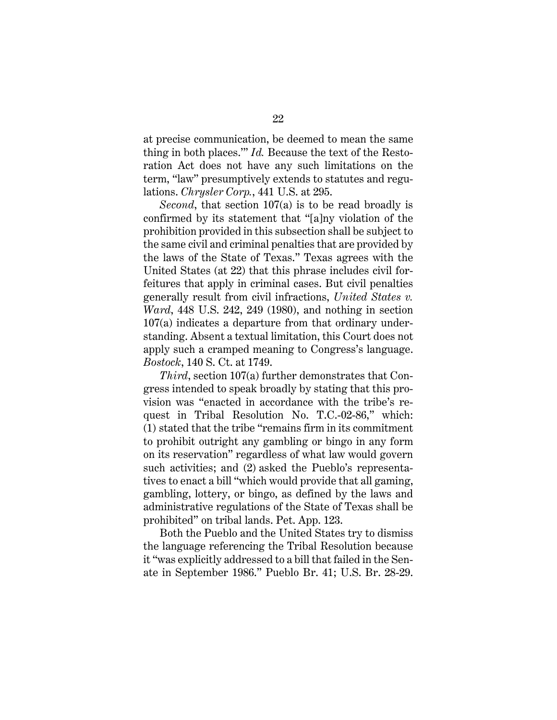at precise communication, be deemed to mean the same thing in both places.'" *Id.* Because the text of the Restoration Act does not have any such limitations on the term, "law" presumptively extends to statutes and regulations. *Chrysler Corp.*, 441 U.S. at 295.

<span id="page-37-1"></span>*Second*, that section 107(a) is to be read broadly is confirmed by its statement that "[a]ny violation of the prohibition provided in this subsection shall be subject to the same civil and criminal penalties that are provided by the laws of the State of Texas." Texas agrees with the United States (at 22) that this phrase includes civil forfeitures that apply in criminal cases. But civil penalties generally result from civil infractions, *United States v. Ward*, 448 U.S. 242, 249 (1980), and nothing in section 107(a) indicates a departure from that ordinary understanding. Absent a textual limitation, this Court does not apply such a cramped meaning to Congress's language. *Bostock*, 140 S. Ct. at 1749.

<span id="page-37-2"></span><span id="page-37-0"></span>*Third*, section 107(a) further demonstrates that Congress intended to speak broadly by stating that this provision was "enacted in accordance with the tribe's request in Tribal Resolution No. T.C.-02-86," which: (1) stated that the tribe "remains firm in its commitment to prohibit outright any gambling or bingo in any form on its reservation" regardless of what law would govern such activities; and (2) asked the Pueblo's representatives to enact a bill "which would provide that all gaming, gambling, lottery, or bingo, as defined by the laws and administrative regulations of the State of Texas shall be prohibited" on tribal lands. Pet. App. 123.

Both the Pueblo and the United States try to dismiss the language referencing the Tribal Resolution because it "was explicitly addressed to a bill that failed in the Senate in September 1986." Pueblo Br. 41; U.S. Br. 28-29.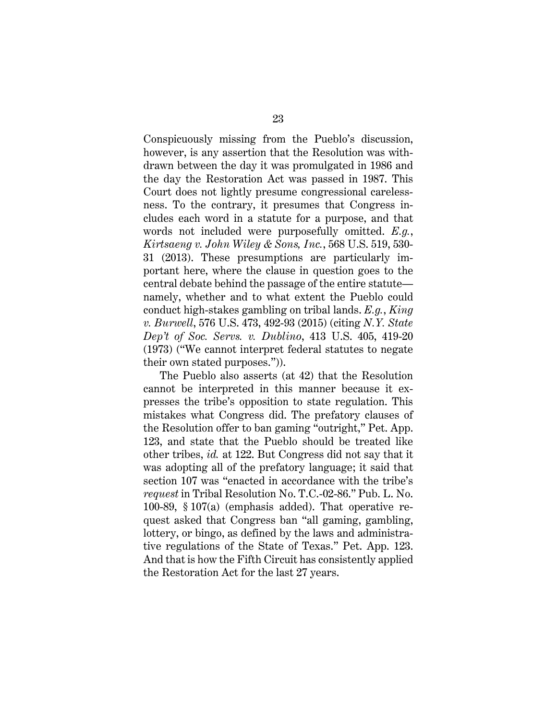<span id="page-38-1"></span>Conspicuously missing from the Pueblo's discussion, however, is any assertion that the Resolution was withdrawn between the day it was promulgated in 1986 and the day the Restoration Act was passed in 1987. This Court does not lightly presume congressional carelessness. To the contrary, it presumes that Congress includes each word in a statute for a purpose, and that words not included were purposefully omitted. *E.g.*, *Kirtsaeng v. John Wiley & Sons, Inc.*, 568 U.S. 519, 530- 31 (2013). These presumptions are particularly important here, where the clause in question goes to the central debate behind the passage of the entire statute namely, whether and to what extent the Pueblo could conduct high-stakes gambling on tribal lands. *E.g.*, *King v. Burwell*, 576 U.S. 473, 492-93 (2015) (citing *N.Y. State Dep't of Soc. Servs. v. Dublino*, 413 U.S. 405, 419-20 (1973) ("We cannot interpret federal statutes to negate their own stated purposes.")).

<span id="page-38-2"></span><span id="page-38-0"></span>The Pueblo also asserts (at 42) that the Resolution cannot be interpreted in this manner because it expresses the tribe's opposition to state regulation. This mistakes what Congress did. The prefatory clauses of the Resolution offer to ban gaming "outright," Pet. App. 123, and state that the Pueblo should be treated like other tribes, *id.* at 122. But Congress did not say that it was adopting all of the prefatory language; it said that section 107 was "enacted in accordance with the tribe's *request* in Tribal Resolution No. T.C.-02-86." Pub. L. No. 100-89, § 107(a) (emphasis added). That operative request asked that Congress ban "all gaming, gambling, lottery, or bingo, as defined by the laws and administrative regulations of the State of Texas." Pet. App. 123. And that is how the Fifth Circuit has consistently applied the Restoration Act for the last 27 years.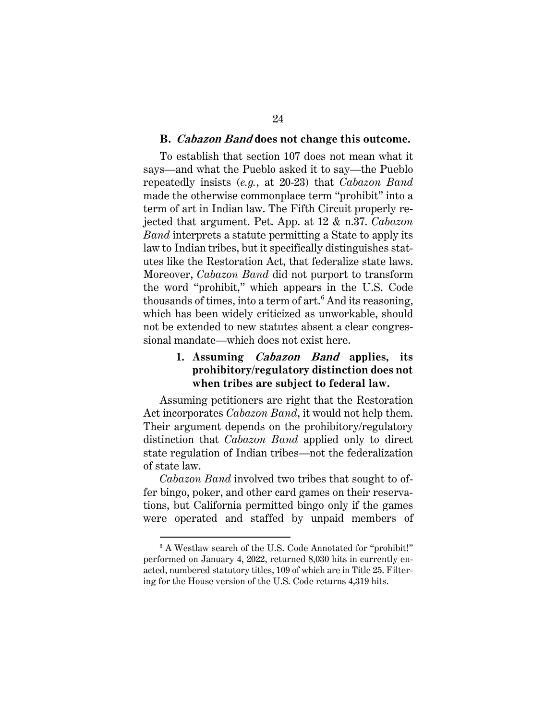#### <span id="page-39-0"></span>**B. Cabazon Band does not change this outcome.**

To establish that section 107 does not mean what it says—and what the Pueblo asked it to say—the Pueblo repeatedly insists (*e.g.*, at 20-23) that *Cabazon Band*  made the otherwise commonplace term "prohibit" into a term of art in Indian law. The Fifth Circuit properly rejected that argument. Pet. App. at 12 & n.37. *Cabazon Band* interprets a statute permitting a State to apply its law to Indian tribes, but it specifically distinguishes statutes like the Restoration Act, that federalize state laws. Moreover, *Cabazon Band* did not purport to transform the word "prohibit," which appears in the U.S. Code thousands of times, into a term of  $art.^6$  $art.^6$  And its reasoning, which has been widely criticized as unworkable, should not be extended to new statutes absent a clear congressional mandate—which does not exist here.

## <span id="page-39-1"></span>**1. Assuming Cabazon Band applies, its prohibitory/regulatory distinction does not when tribes are subject to federal law.**

Assuming petitioners are right that the Restoration Act incorporates *Cabazon Band*, it would not help them. Their argument depends on the prohibitory/regulatory distinction that *Cabazon Band* applied only to direct state regulation of Indian tribes—not the federalization of state law.

*Cabazon Band* involved two tribes that sought to offer bingo, poker, and other card games on their reservations, but California permitted bingo only if the games were operated and staffed by unpaid members of

<span id="page-39-2"></span><sup>&</sup>lt;sup>6</sup> A Westlaw search of the U.S. Code Annotated for "prohibit!" performed on January 4, 2022, returned 8,030 hits in currently enacted, numbered statutory titles, 109 of which are in Title 25. Filtering for the House version of the U.S. Code returns 4,319 hits.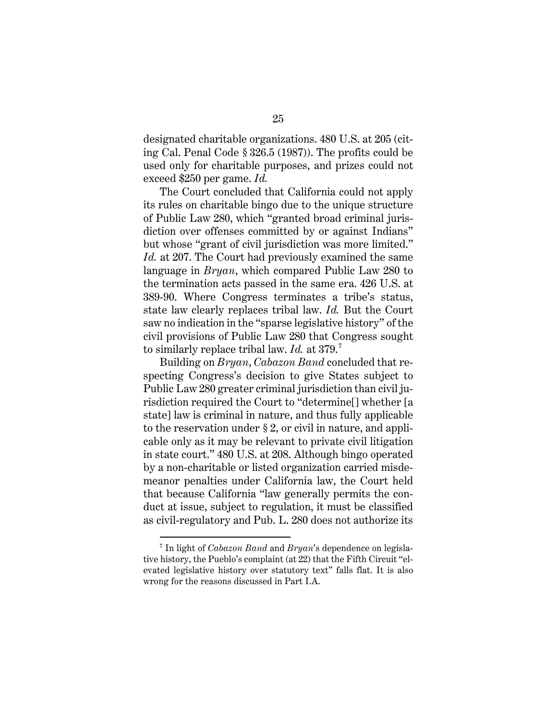<span id="page-40-0"></span>designated charitable organizations. 480 U.S. at 205 (citing Cal. Penal Code § 326.5 (1987)). The profits could be used only for charitable purposes, and prizes could not exceed \$250 per game. *Id.* 

The Court concluded that California could not apply its rules on charitable bingo due to the unique structure of Public Law 280, which "granted broad criminal jurisdiction over offenses committed by or against Indians" but whose "grant of civil jurisdiction was more limited." *Id.* at 207. The Court had previously examined the same language in *Bryan*, which compared Public Law 280 to the termination acts passed in the same era. 426 U.S. at 389-90. Where Congress terminates a tribe's status, state law clearly replaces tribal law. *Id.* But the Court saw no indication in the "sparse legislative history" of the civil provisions of Public Law 280 that Congress sought to similarly replace tribal law. *Id.* at 379.[7](#page-40-1)

Building on *Bryan*, *Cabazon Band* concluded that respecting Congress's decision to give States subject to Public Law 280 greater criminal jurisdiction than civil jurisdiction required the Court to "determine[] whether [a state] law is criminal in nature, and thus fully applicable to the reservation under § 2, or civil in nature, and applicable only as it may be relevant to private civil litigation in state court." 480 U.S. at 208. Although bingo operated by a non-charitable or listed organization carried misdemeanor penalties under California law, the Court held that because California "law generally permits the conduct at issue, subject to regulation, it must be classified as civil-regulatory and Pub. L. 280 does not authorize its

<span id="page-40-1"></span><sup>7</sup> In light of *Cabazon Band* and *Bryan*'s dependence on legislative history, the Pueblo's complaint (at 22) that the Fifth Circuit "elevated legislative history over statutory text" falls flat. It is also wrong for the reasons discussed in Part I.A.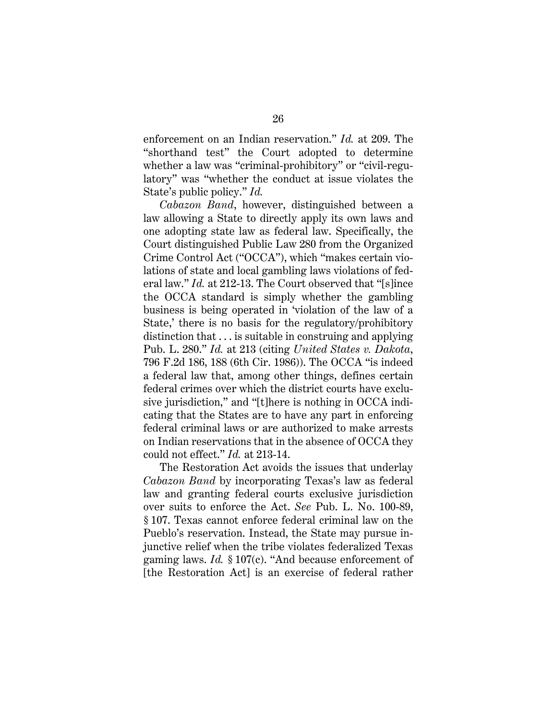enforcement on an Indian reservation." *Id.* at 209. The "shorthand test" the Court adopted to determine whether a law was "criminal-prohibitory" or "civil-regulatory" was "whether the conduct at issue violates the State's public policy." *Id.*

*Cabazon Band*, however, distinguished between a law allowing a State to directly apply its own laws and one adopting state law as federal law. Specifically, the Court distinguished Public Law 280 from the Organized Crime Control Act ("OCCA"), which "makes certain violations of state and local gambling laws violations of federal law." *Id.* at 212-13. The Court observed that "[s]ince the OCCA standard is simply whether the gambling business is being operated in 'violation of the law of a State,' there is no basis for the regulatory/prohibitory distinction that . . . is suitable in construing and applying Pub. L. 280." *Id.* at 213 (citing *United States v. Dakota*, 796 F.2d 186, 188 (6th Cir. 1986)). The OCCA "is indeed a federal law that, among other things, defines certain federal crimes over which the district courts have exclusive jurisdiction," and "[t]here is nothing in OCCA indicating that the States are to have any part in enforcing federal criminal laws or are authorized to make arrests on Indian reservations that in the absence of OCCA they could not effect." *Id.* at 213-14.

<span id="page-41-0"></span>The Restoration Act avoids the issues that underlay *Cabazon Band* by incorporating Texas's law as federal law and granting federal courts exclusive jurisdiction over suits to enforce the Act. *See* Pub. L. No. 100-89, § 107. Texas cannot enforce federal criminal law on the Pueblo's reservation. Instead, the State may pursue injunctive relief when the tribe violates federalized Texas gaming laws. *Id.* § 107(c). "And because enforcement of [the Restoration Act] is an exercise of federal rather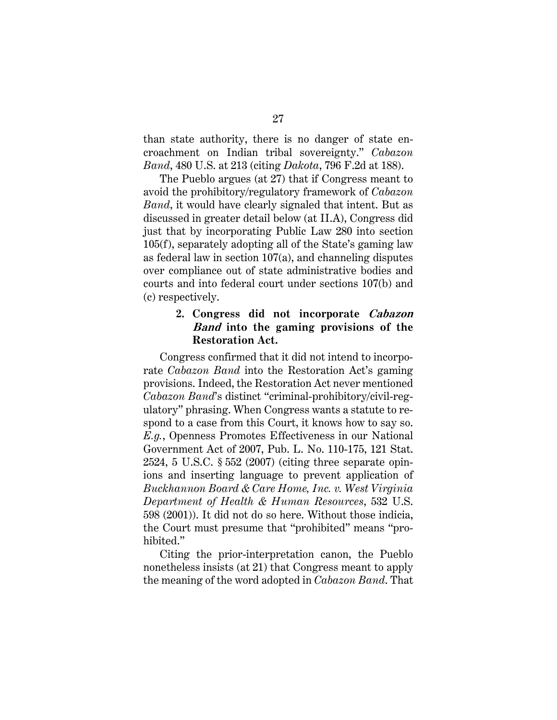than state authority, there is no danger of state encroachment on Indian tribal sovereignty." *Cabazon Band*, 480 U.S. at 213 (citing *Dakota*, 796 F.2d at 188).

<span id="page-42-2"></span>The Pueblo argues (at 27) that if Congress meant to avoid the prohibitory/regulatory framework of *Cabazon Band*, it would have clearly signaled that intent. But as discussed in greater detail below (at II.A), Congress did just that by incorporating Public Law 280 into section 105(f), separately adopting all of the State's gaming law as federal law in section 107(a), and channeling disputes over compliance out of state administrative bodies and courts and into federal court under sections 107(b) and (c) respectively.

### <span id="page-42-0"></span>**2. Congress did not incorporate Cabazon Band into the gaming provisions of the Restoration Act.**

Congress confirmed that it did not intend to incorporate *Cabazon Band* into the Restoration Act's gaming provisions. Indeed, the Restoration Act never mentioned *Cabazon Band*'s distinct "criminal-prohibitory/civil-regulatory" phrasing. When Congress wants a statute to respond to a case from this Court, it knows how to say so. *E.g.*, Openness Promotes Effectiveness in our National Government Act of 2007, Pub. L. No. 110-175, 121 Stat. 2524, 5 U.S.C. § 552 (2007) (citing three separate opinions and inserting language to prevent application of *Buckhannon Board & Care Home, Inc. v. West Virginia Department of Health & Human Resources*, 532 U.S. 598 (2001)). It did not do so here. Without those indicia, the Court must presume that "prohibited" means "prohibited."

<span id="page-42-1"></span>Citing the prior-interpretation canon, the Pueblo nonetheless insists (at 21) that Congress meant to apply the meaning of the word adopted in *Cabazon Band*. That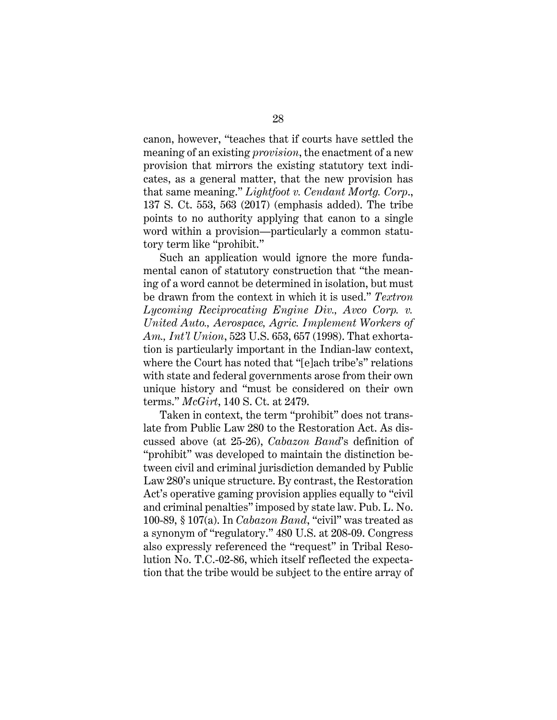<span id="page-43-0"></span>canon, however, "teaches that if courts have settled the meaning of an existing *provision*, the enactment of a new provision that mirrors the existing statutory text indicates, as a general matter, that the new provision has that same meaning." *Lightfoot v. Cendant Mortg. Corp*., 137 S. Ct. 553, 563 (2017) (emphasis added). The tribe points to no authority applying that canon to a single word within a provision—particularly a common statutory term like "prohibit."

<span id="page-43-1"></span>Such an application would ignore the more fundamental canon of statutory construction that "the meaning of a word cannot be determined in isolation, but must be drawn from the context in which it is used." *Textron Lycoming Reciprocating Engine Div., Avco Corp. v. United Auto., Aerospace, Agric. Implement Workers of Am., Int'l Union*, 523 U.S. 653, 657 (1998). That exhortation is particularly important in the Indian-law context, where the Court has noted that "[e]ach tribe's" relations with state and federal governments arose from their own unique history and "must be considered on their own terms." *McGirt*, 140 S. Ct. at 2479.

Taken in context, the term "prohibit" does not translate from Public Law 280 to the Restoration Act. As discussed above (at 25-26), *Cabazon Band*'s definition of "prohibit" was developed to maintain the distinction between civil and criminal jurisdiction demanded by Public Law 280's unique structure. By contrast, the Restoration Act's operative gaming provision applies equally to "civil and criminal penalties" imposed by state law. Pub. L. No. 100-89, § 107(a). In *Cabazon Band*, "civil" was treated as a synonym of "regulatory." 480 U.S. at 208-09. Congress also expressly referenced the "request" in Tribal Resolution No. T.C.-02-86, which itself reflected the expectation that the tribe would be subject to the entire array of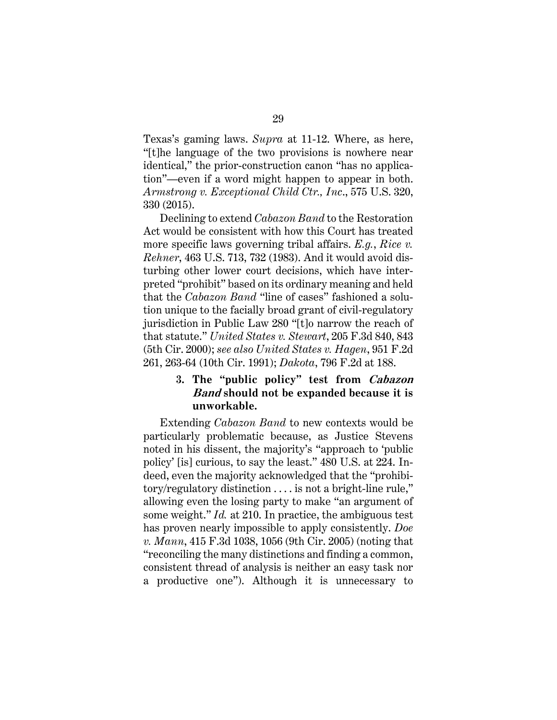Texas's gaming laws. *Supra* at 11-12. Where, as here, "[t]he language of the two provisions is nowhere near identical," the prior-construction canon "has no application"—even if a word might happen to appear in both. *Armstrong v. Exceptional Child Ctr., Inc*., 575 U.S. 320, 330 (2015).

<span id="page-44-2"></span><span id="page-44-1"></span>Declining to extend *Cabazon Band* to the Restoration Act would be consistent with how this Court has treated more specific laws governing tribal affairs. *E.g.*, *Rice v. Rehner*, 463 U.S. 713, 732 (1983). And it would avoid disturbing other lower court decisions, which have interpreted "prohibit" based on its ordinary meaning and held that the *Cabazon Band* "line of cases" fashioned a solution unique to the facially broad grant of civil-regulatory jurisdiction in Public Law 280 "[t]o narrow the reach of that statute." *United States v. Stewart*, 205 F.3d 840, 843 (5th Cir. 2000); *see also United States v. Hagen*, 951 F.2d 261, 263-64 (10th Cir. 1991); *Dakota*, 796 F.2d at 188.

## <span id="page-44-5"></span><span id="page-44-4"></span><span id="page-44-3"></span><span id="page-44-0"></span>**3. The "public policy" test from Cabazon Band should not be expanded because it is unworkable.**

Extending *Cabazon Band* to new contexts would be particularly problematic because, as Justice Stevens noted in his dissent, the majority's "approach to 'public policy' [is] curious, to say the least." 480 U.S. at 224. Indeed, even the majority acknowledged that the "prohibitory/regulatory distinction . . . . is not a bright-line rule," allowing even the losing party to make "an argument of some weight." *Id.* at 210. In practice, the ambiguous test has proven nearly impossible to apply consistently. *Doe v. Mann*, 415 F.3d 1038, 1056 (9th Cir. 2005) (noting that "reconciling the many distinctions and finding a common, consistent thread of analysis is neither an easy task nor a productive one"). Although it is unnecessary to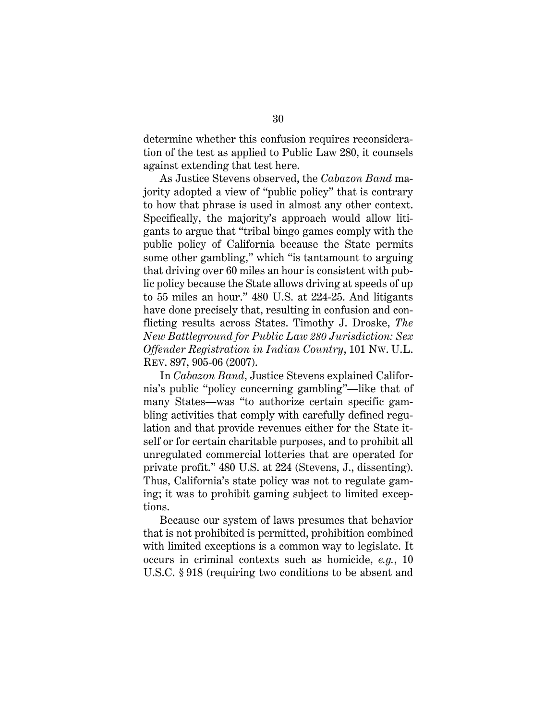determine whether this confusion requires reconsideration of the test as applied to Public Law 280, it counsels against extending that test here.

As Justice Stevens observed, the *Cabazon Band* majority adopted a view of "public policy" that is contrary to how that phrase is used in almost any other context. Specifically, the majority's approach would allow litigants to argue that "tribal bingo games comply with the public policy of California because the State permits some other gambling," which "is tantamount to arguing that driving over 60 miles an hour is consistent with public policy because the State allows driving at speeds of up to 55 miles an hour." 480 U.S. at 224-25. And litigants have done precisely that, resulting in confusion and conflicting results across States. Timothy J. Droske, *The New Battleground for Public Law 280 Jurisdiction: Sex Offender Registration in Indian Country*, 101 NW. U.L. REV. 897, 905-06 (2007).

<span id="page-45-0"></span>In *Cabazon Band*, Justice Stevens explained California's public "policy concerning gambling"—like that of many States—was "to authorize certain specific gambling activities that comply with carefully defined regulation and that provide revenues either for the State itself or for certain charitable purposes, and to prohibit all unregulated commercial lotteries that are operated for private profit." 480 U.S. at 224 (Stevens, J., dissenting). Thus, California's state policy was not to regulate gaming; it was to prohibit gaming subject to limited exceptions.

Because our system of laws presumes that behavior that is not prohibited is permitted, prohibition combined with limited exceptions is a common way to legislate. It occurs in criminal contexts such as homicide, *e.g.*, 10 U.S.C. § 918 (requiring two conditions to be absent and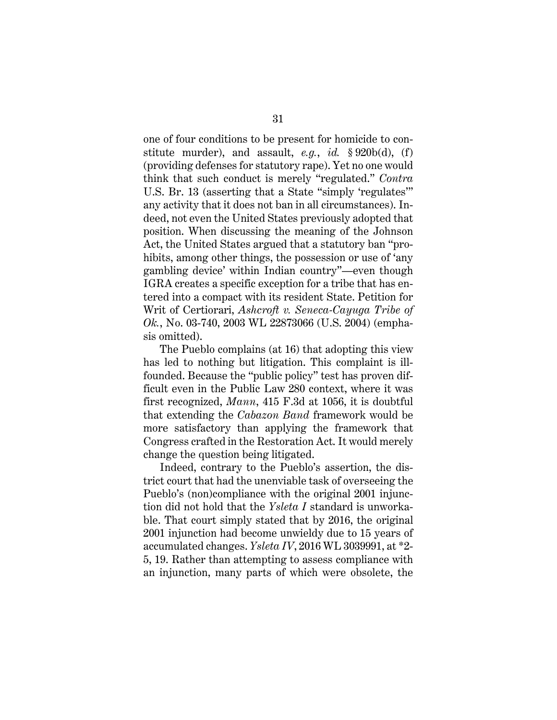<span id="page-46-2"></span>one of four conditions to be present for homicide to constitute murder), and assault, *e.g.*, *id.* § 920b(d), (f) (providing defenses for statutory rape). Yet no one would think that such conduct is merely "regulated." *Contra*  U.S. Br. 13 (asserting that a State "simply 'regulates'" any activity that it does not ban in all circumstances). Indeed, not even the United States previously adopted that position. When discussing the meaning of the Johnson Act, the United States argued that a statutory ban "prohibits, among other things, the possession or use of 'any gambling device' within Indian country"—even though IGRA creates a specific exception for a tribe that has entered into a compact with its resident State. Petition for Writ of Certiorari, *Ashcroft v. Seneca-Cayuga Tribe of Ok.*, No. 03-740, 2003 WL 22873066 (U.S. 2004) (emphasis omitted).

<span id="page-46-3"></span><span id="page-46-0"></span>The Pueblo complains (at 16) that adopting this view has led to nothing but litigation. This complaint is illfounded. Because the "public policy" test has proven difficult even in the Public Law 280 context, where it was first recognized, *Mann*, 415 F.3d at 1056, it is doubtful that extending the *Cabazon Band* framework would be more satisfactory than applying the framework that Congress crafted in the Restoration Act. It would merely change the question being litigated.

<span id="page-46-1"></span>Indeed, contrary to the Pueblo's assertion, the district court that had the unenviable task of overseeing the Pueblo's (non)compliance with the original 2001 injunction did not hold that the *Ysleta I* standard is unworkable. That court simply stated that by 2016, the original 2001 injunction had become unwieldy due to 15 years of accumulated changes. *Ysleta IV*, 2016 WL 3039991, at \*2- 5, 19. Rather than attempting to assess compliance with an injunction, many parts of which were obsolete, the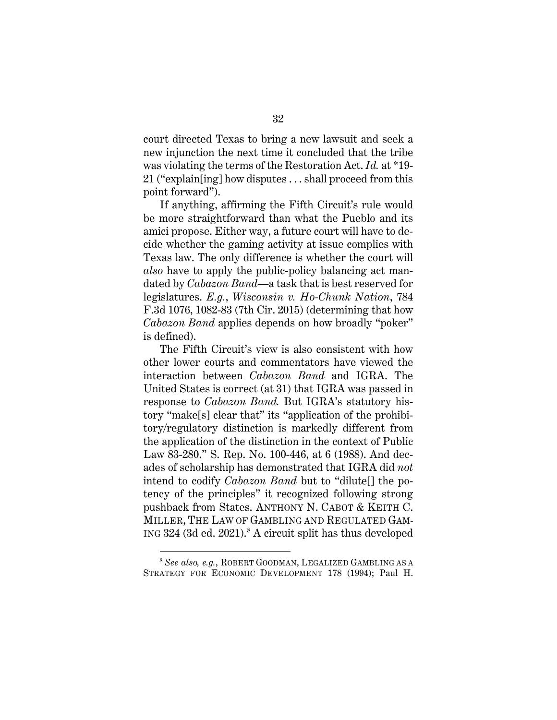court directed Texas to bring a new lawsuit and seek a new injunction the next time it concluded that the tribe was violating the terms of the Restoration Act. *Id.* at \*19- 21 ("explain[ing] how disputes . . . shall proceed from this point forward").

If anything, affirming the Fifth Circuit's rule would be more straightforward than what the Pueblo and its amici propose. Either way, a future court will have to decide whether the gaming activity at issue complies with Texas law. The only difference is whether the court will *also* have to apply the public-policy balancing act mandated by *Cabazon Band*—a task that is best reserved for legislatures. *E.g.*, *Wisconsin v. Ho-Chunk Nation*, 784 F.3d 1076, 1082-83 (7th Cir. 2015) (determining that how *Cabazon Band* applies depends on how broadly "poker" is defined).

<span id="page-47-3"></span><span id="page-47-0"></span>The Fifth Circuit's view is also consistent with how other lower courts and commentators have viewed the interaction between *Cabazon Band* and IGRA. The United States is correct (at 31) that IGRA was passed in response to *Cabazon Band.* But IGRA's statutory history "make[s] clear that" its "application of the prohibitory/regulatory distinction is markedly different from the application of the distinction in the context of Public Law 83-280." S. Rep. No. 100-446, at 6 (1988). And decades of scholarship has demonstrated that IGRA did *not*  intend to codify *Cabazon Band* but to "dilute[] the potency of the principles" it recognized following strong pushback from States. ANTHONY N. CABOT & KEITH C. MILLER, THE LAW OF GAMBLING AND REGULATED GAM-ING 324 (3d ed. 2021).<sup>[8](#page-47-4)</sup> A circuit split has thus developed

<span id="page-47-4"></span><span id="page-47-2"></span><span id="page-47-1"></span><sup>8</sup> *See also, e.g.*, ROBERT GOODMAN, LEGALIZED GAMBLING AS A STRATEGY FOR ECONOMIC DEVELOPMENT 178 (1994); Paul H.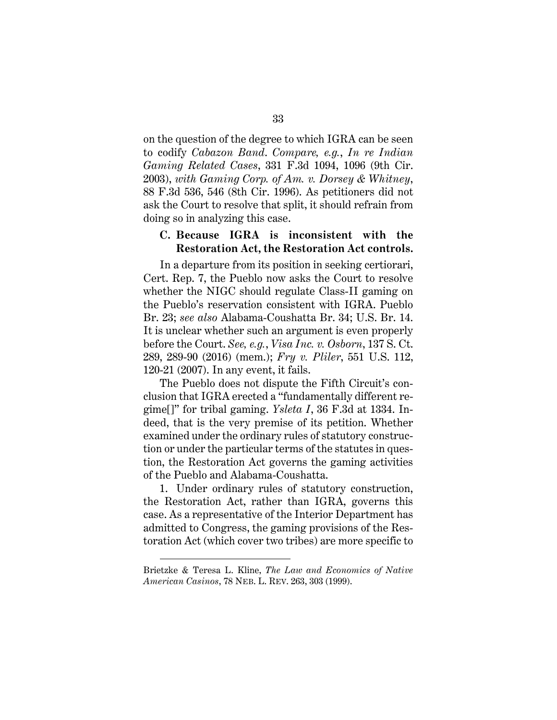<span id="page-48-3"></span><span id="page-48-2"></span>on the question of the degree to which IGRA can be seen to codify *Cabazon Band*. *Compare, e.g.*, *In re Indian Gaming Related Cases*, 331 F.3d 1094, 1096 (9th Cir. 2003), *with Gaming Corp. of Am. v. Dorsey & Whitney*, 88 F.3d 536, 546 (8th Cir. 1996). As petitioners did not ask the Court to resolve that split, it should refrain from doing so in analyzing this case.

#### <span id="page-48-0"></span>**C. Because IGRA is inconsistent with the Restoration Act, the Restoration Act controls.**

In a departure from its position in seeking certiorari, Cert. Rep. 7, the Pueblo now asks the Court to resolve whether the NIGC should regulate Class-II gaming on the Pueblo's reservation consistent with IGRA. Pueblo Br. 23; *see also* Alabama-Coushatta Br. 34; U.S. Br. 14. It is unclear whether such an argument is even properly before the Court. *See, e.g.*, *Visa Inc. v. Osborn*, 137 S. Ct. 289, 289-90 (2016) (mem.); *Fry v. Pliler*, 551 U.S. 112, 120-21 (2007). In any event, it fails.

<span id="page-48-4"></span><span id="page-48-1"></span>The Pueblo does not dispute the Fifth Circuit's conclusion that IGRA erected a "fundamentally different regime[]" for tribal gaming. *Ysleta I*, 36 F.3d at 1334. Indeed, that is the very premise of its petition. Whether examined under the ordinary rules of statutory construction or under the particular terms of the statutes in question, the Restoration Act governs the gaming activities of the Pueblo and Alabama-Coushatta.

1. Under ordinary rules of statutory construction, the Restoration Act, rather than IGRA, governs this case. As a representative of the Interior Department has admitted to Congress, the gaming provisions of the Restoration Act (which cover two tribes) are more specific to

Brietzke & Teresa L. Kline, *The Law and Economics of Native American Casinos*, 78 NEB. L. REV. 263, 303 (1999).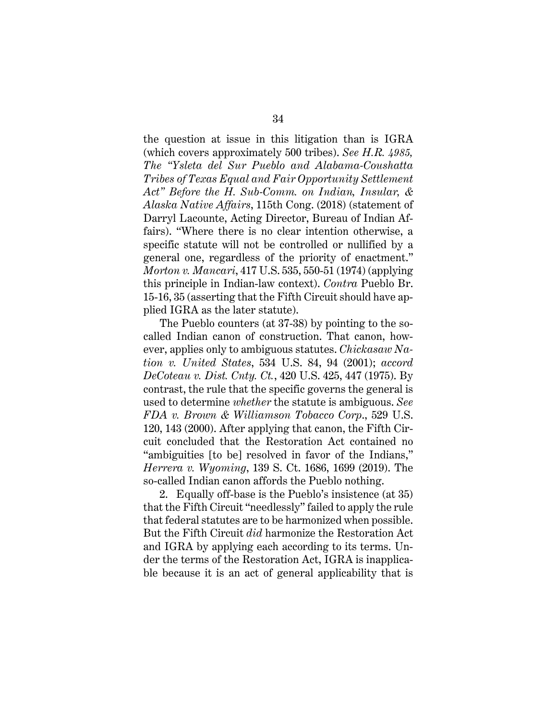<span id="page-49-5"></span>the question at issue in this litigation than is IGRA (which covers approximately 500 tribes). *See H.R. 4985, The "Ysleta del Sur Pueblo and Alabama-Coushatta Tribes of Texas Equal and Fair Opportunity Settlement Act" Before the H. Sub-Comm. on Indian, Insular, & Alaska Native Affairs*, 115th Cong. (2018) (statement of Darryl Lacounte, Acting Director, Bureau of Indian Affairs). "Where there is no clear intention otherwise, a specific statute will not be controlled or nullified by a general one, regardless of the priority of enactment." *Morton v. Mancari*, 417 U.S. 535, 550-51 (1974) (applying this principle in Indian-law context). *Contra* Pueblo Br. 15-16, 35 (asserting that the Fifth Circuit should have applied IGRA as the later statute).

<span id="page-49-4"></span><span id="page-49-1"></span><span id="page-49-0"></span>The Pueblo counters (at 37-38) by pointing to the socalled Indian canon of construction. That canon, however, applies only to ambiguous statutes. *Chickasaw Nation v. United States*, 534 U.S. 84, 94 (2001); *accord DeCoteau v. Dist. Cnty. Ct.*, 420 U.S. 425, 447 (1975). By contrast, the rule that the specific governs the general is used to determine *whether* the statute is ambiguous. *See FDA v. Brown & Williamson Tobacco Corp*., 529 U.S. 120, 143 (2000). After applying that canon, the Fifth Circuit concluded that the Restoration Act contained no "ambiguities [to be] resolved in favor of the Indians," *Herrera v. Wyoming*, 139 S. Ct. 1686, 1699 (2019). The so-called Indian canon affords the Pueblo nothing.

<span id="page-49-3"></span><span id="page-49-2"></span>2. Equally off-base is the Pueblo's insistence (at 35) that the Fifth Circuit "needlessly" failed to apply the rule that federal statutes are to be harmonized when possible. But the Fifth Circuit *did* harmonize the Restoration Act and IGRA by applying each according to its terms. Under the terms of the Restoration Act, IGRA is inapplicable because it is an act of general applicability that is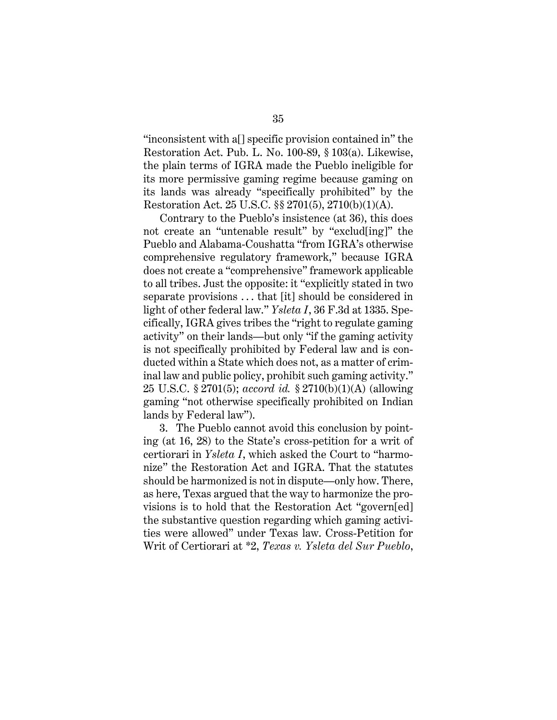"inconsistent with a[] specific provision contained in" the Restoration Act. Pub. L. No. 100-89, § 103(a). Likewise, the plain terms of IGRA made the Pueblo ineligible for its more permissive gaming regime because gaming on its lands was already "specifically prohibited" by the Restoration Act. 25 U.S.C. §§ 2701(5), 2710(b)(1)(A).

Contrary to the Pueblo's insistence (at 36), this does not create an "untenable result" by "exclud[ing]" the Pueblo and Alabama-Coushatta "from IGRA's otherwise comprehensive regulatory framework," because IGRA does not create a "comprehensive" framework applicable to all tribes. Just the opposite: it "explicitly stated in two separate provisions . . . that [it] should be considered in light of other federal law." *Ysleta I*, 36 F.3d at 1335. Specifically, IGRA gives tribes the "right to regulate gaming activity" on their lands—but only "if the gaming activity is not specifically prohibited by Federal law and is conducted within a State which does not, as a matter of criminal law and public policy, prohibit such gaming activity." 25 U.S.C. § 2701(5); *accord id.* § 2710(b)(1)(A) (allowing gaming "not otherwise specifically prohibited on Indian lands by Federal law").

<span id="page-50-2"></span><span id="page-50-1"></span><span id="page-50-0"></span>3. The Pueblo cannot avoid this conclusion by pointing (at 16, 28) to the State's cross-petition for a writ of certiorari in *Ysleta I*, which asked the Court to "harmonize" the Restoration Act and IGRA. That the statutes should be harmonized is not in dispute—only how. There, as here, Texas argued that the way to harmonize the provisions is to hold that the Restoration Act "govern[ed] the substantive question regarding which gaming activities were allowed" under Texas law. Cross-Petition for Writ of Certiorari at \*2, *Texas v. Ysleta del Sur Pueblo*,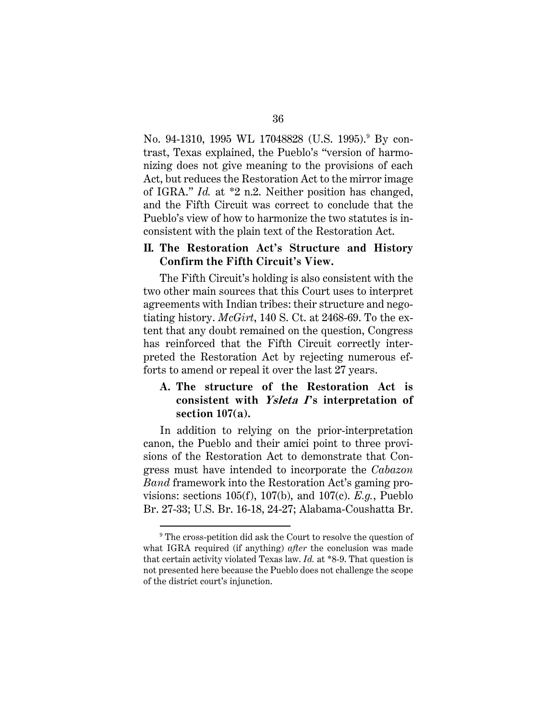No. [9](#page-51-2)4-1310, 1995 WL 17048828 (U.S. 1995).<sup>9</sup> By contrast, Texas explained, the Pueblo's "version of harmonizing does not give meaning to the provisions of each Act, but reduces the Restoration Act to the mirror image of IGRA." *Id.* at \*2 n.2. Neither position has changed, and the Fifth Circuit was correct to conclude that the Pueblo's view of how to harmonize the two statutes is inconsistent with the plain text of the Restoration Act.

### <span id="page-51-0"></span>**II. The Restoration Act's Structure and History Confirm the Fifth Circuit's View.**

The Fifth Circuit's holding is also consistent with the two other main sources that this Court uses to interpret agreements with Indian tribes: their structure and negotiating history. *McGirt*, 140 S. Ct. at 2468-69. To the extent that any doubt remained on the question, Congress has reinforced that the Fifth Circuit correctly interpreted the Restoration Act by rejecting numerous efforts to amend or repeal it over the last 27 years.

### <span id="page-51-1"></span>**A. The structure of the Restoration Act is consistent with Ysleta I 's interpretation of section 107(a).**

In addition to relying on the prior-interpretation canon, the Pueblo and their amici point to three provisions of the Restoration Act to demonstrate that Congress must have intended to incorporate the *Cabazon Band* framework into the Restoration Act's gaming provisions: sections 105(f), 107(b), and 107(c). *E.g.*, Pueblo Br. 27-33; U.S. Br. 16-18, 24-27; Alabama-Coushatta Br.

<span id="page-51-2"></span><sup>&</sup>lt;sup>9</sup> The cross-petition did ask the Court to resolve the question of what IGRA required (if anything) *after* the conclusion was made that certain activity violated Texas law. *Id.* at \*8-9. That question is not presented here because the Pueblo does not challenge the scope of the district court's injunction.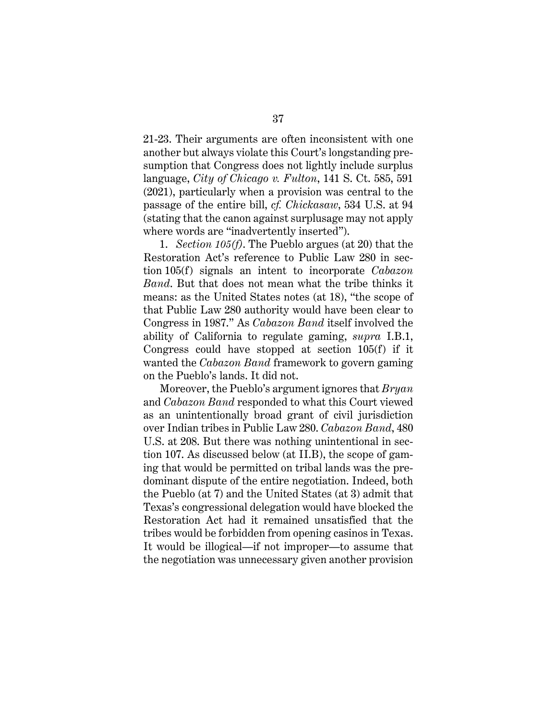<span id="page-52-1"></span>21-23. Their arguments are often inconsistent with one another but always violate this Court's longstanding presumption that Congress does not lightly include surplus language, *City of Chicago v. Fulton*, 141 S. Ct. 585, 591 (2021), particularly when a provision was central to the passage of the entire bill, *cf. Chickasaw*, 534 U.S. at 94 (stating that the canon against surplusage may not apply where words are "inadvertently inserted".

<span id="page-52-0"></span>1. *Section 105(f)*. The Pueblo argues (at 20) that the Restoration Act's reference to Public Law 280 in section 105(f) signals an intent to incorporate *Cabazon Band*. But that does not mean what the tribe thinks it means: as the United States notes (at 18), "the scope of that Public Law 280 authority would have been clear to Congress in 1987." As *Cabazon Band* itself involved the ability of California to regulate gaming, *supra* I.B.1, Congress could have stopped at section 105(f) if it wanted the *Cabazon Band* framework to govern gaming on the Pueblo's lands. It did not.

Moreover, the Pueblo's argument ignores that *Bryan*  and *Cabazon Band* responded to what this Court viewed as an unintentionally broad grant of civil jurisdiction over Indian tribes in Public Law 280. *Cabazon Band*, 480 U.S. at 208. But there was nothing unintentional in section 107. As discussed below (at II.B), the scope of gaming that would be permitted on tribal lands was the predominant dispute of the entire negotiation. Indeed, both the Pueblo (at 7) and the United States (at 3) admit that Texas's congressional delegation would have blocked the Restoration Act had it remained unsatisfied that the tribes would be forbidden from opening casinos in Texas. It would be illogical—if not improper—to assume that the negotiation was unnecessary given another provision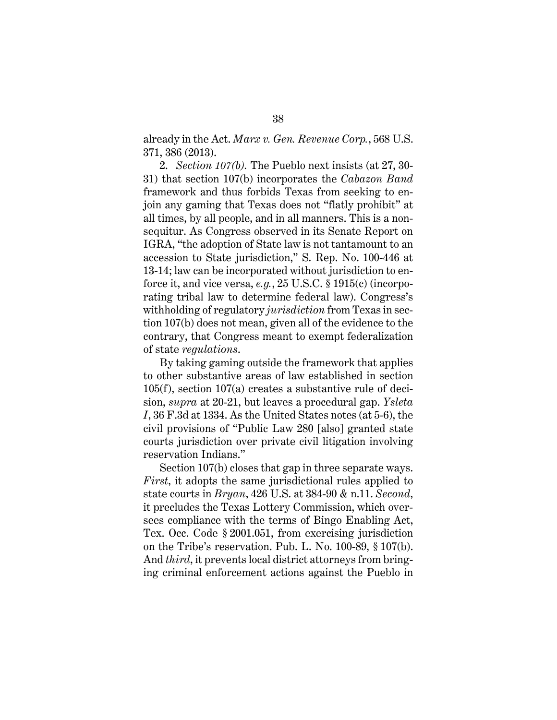<span id="page-53-0"></span>already in the Act. *Marx v. Gen. Revenue Corp.*, 568 U.S. 371, 386 (2013).

<span id="page-53-3"></span>2. *Section 107(b).* The Pueblo next insists (at 27, 30- 31) that section 107(b) incorporates the *Cabazon Band*  framework and thus forbids Texas from seeking to enjoin any gaming that Texas does not "flatly prohibit" at all times, by all people, and in all manners. This is a nonsequitur. As Congress observed in its Senate Report on IGRA, "the adoption of State law is not tantamount to an accession to State jurisdiction," S. Rep. No. 100-446 at 13-14; law can be incorporated without jurisdiction to enforce it, and vice versa, *e.g.*, 25 U.S.C. § 1915(c) (incorporating tribal law to determine federal law). Congress's withholding of regulatory *jurisdiction* from Texas in section 107(b) does not mean, given all of the evidence to the contrary, that Congress meant to exempt federalization of state *regulations*.

<span id="page-53-1"></span>By taking gaming outside the framework that applies to other substantive areas of law established in section 105(f), section 107(a) creates a substantive rule of decision, *supra* at 20-21, but leaves a procedural gap. *Ysleta I*, 36 F.3d at 1334. As the United States notes (at 5-6), the civil provisions of "Public Law 280 [also] granted state courts jurisdiction over private civil litigation involving reservation Indians."

<span id="page-53-2"></span>Section 107(b) closes that gap in three separate ways. *First*, it adopts the same jurisdictional rules applied to state courts in *Bryan*, 426 U.S. at 384-90 & n.11. *Second*, it precludes the Texas Lottery Commission, which oversees compliance with the terms of Bingo Enabling Act, Tex. Occ. Code § 2001.051, from exercising jurisdiction on the Tribe's reservation. Pub. L. No. 100-89, § 107(b). And *third*, it prevents local district attorneys from bringing criminal enforcement actions against the Pueblo in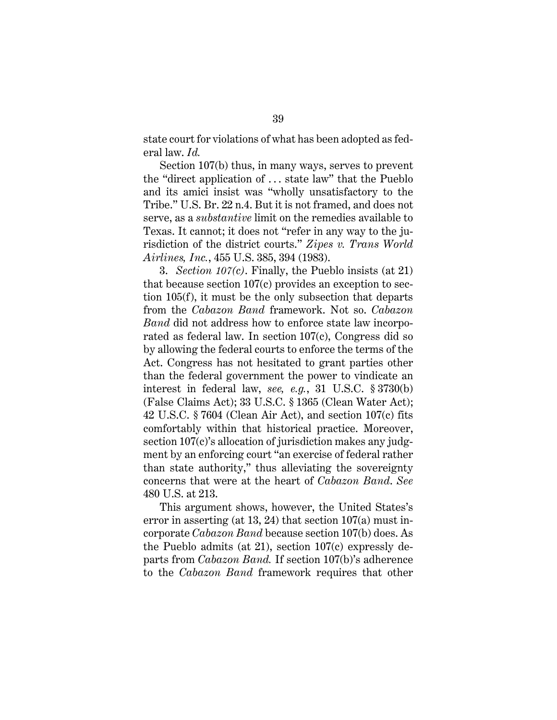state court for violations of what has been adopted as federal law. *Id.*

Section 107(b) thus, in many ways, serves to prevent the "direct application of . . . state law" that the Pueblo and its amici insist was "wholly unsatisfactory to the Tribe." U.S. Br. 22 n.4. But it is not framed, and does not serve, as a *substantive* limit on the remedies available to Texas. It cannot; it does not "refer in any way to the jurisdiction of the district courts." *Zipes v. Trans World Airlines, Inc.*, 455 U.S. 385, 394 (1983).

<span id="page-54-1"></span><span id="page-54-0"></span>3. *Section 107(c)*. Finally, the Pueblo insists (at 21) that because section 107(c) provides an exception to section 105(f), it must be the only subsection that departs from the *Cabazon Band* framework. Not so. *Cabazon Band* did not address how to enforce state law incorporated as federal law. In section 107(c), Congress did so by allowing the federal courts to enforce the terms of the Act. Congress has not hesitated to grant parties other than the federal government the power to vindicate an interest in federal law, *see, e.g.*, 31 U.S.C. § 3730(b) (False Claims Act); 33 U.S.C. § 1365 (Clean Water Act); 42 U.S.C. § 7604 (Clean Air Act), and section 107(c) fits comfortably within that historical practice. Moreover, section 107(c)'s allocation of jurisdiction makes any judgment by an enforcing court "an exercise of federal rather than state authority," thus alleviating the sovereignty concerns that were at the heart of *Cabazon Band*. *See*  480 U.S. at 213.

<span id="page-54-3"></span><span id="page-54-2"></span>This argument shows, however, the United States's error in asserting (at 13, 24) that section 107(a) must incorporate *Cabazon Band* because section 107(b) does. As the Pueblo admits (at 21), section 107(c) expressly departs from *Cabazon Band.* If section 107(b)'s adherence to the *Cabazon Band* framework requires that other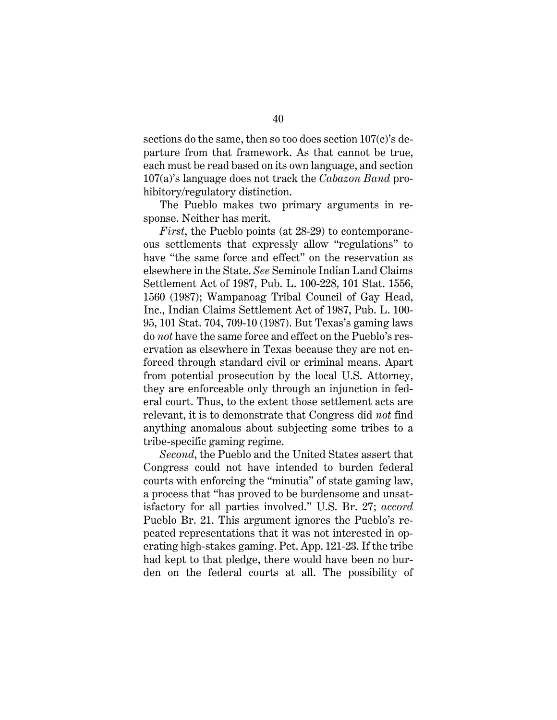sections do the same, then so too does section 107(c)'s departure from that framework. As that cannot be true, each must be read based on its own language, and section 107(a)'s language does not track the *Cabazon Band* prohibitory/regulatory distinction.

The Pueblo makes two primary arguments in response. Neither has merit.

<span id="page-55-1"></span><span id="page-55-0"></span>*First*, the Pueblo points (at 28-29) to contemporaneous settlements that expressly allow "regulations" to have "the same force and effect" on the reservation as elsewhere in the State. *See* Seminole Indian Land Claims Settlement Act of 1987, Pub. L. 100-228, 101 Stat. 1556, 1560 (1987); Wampanoag Tribal Council of Gay Head, Inc., Indian Claims Settlement Act of 1987, Pub. L. 100- 95, 101 Stat. 704, 709-10 (1987). But Texas's gaming laws do *not* have the same force and effect on the Pueblo's reservation as elsewhere in Texas because they are not enforced through standard civil or criminal means. Apart from potential prosecution by the local U.S. Attorney, they are enforceable only through an injunction in federal court. Thus, to the extent those settlement acts are relevant, it is to demonstrate that Congress did *not* find anything anomalous about subjecting some tribes to a tribe-specific gaming regime.

*Second*, the Pueblo and the United States assert that Congress could not have intended to burden federal courts with enforcing the "minutia" of state gaming law, a process that "has proved to be burdensome and unsatisfactory for all parties involved." U.S. Br. 27; *accord*  Pueblo Br. 21. This argument ignores the Pueblo's repeated representations that it was not interested in operating high-stakes gaming. Pet. App. 121-23. If the tribe had kept to that pledge, there would have been no burden on the federal courts at all. The possibility of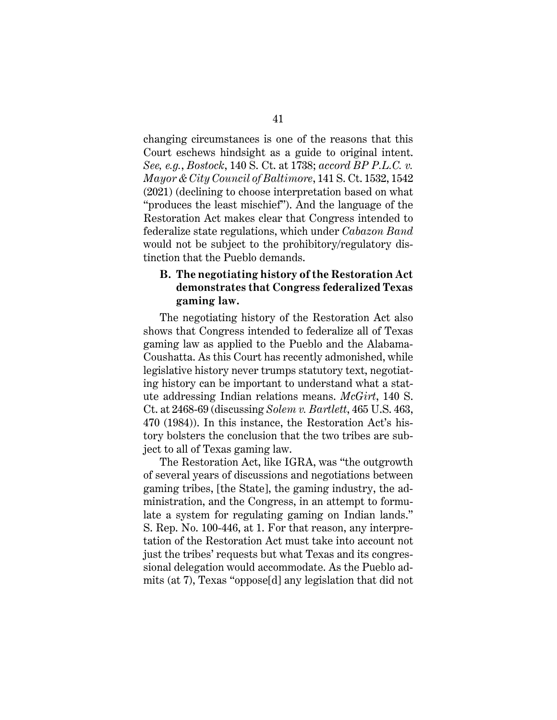<span id="page-56-2"></span><span id="page-56-1"></span>changing circumstances is one of the reasons that this Court eschews hindsight as a guide to original intent. *See, e.g.*, *Bostock*, 140 S. Ct. at 1738; *accord BP P.L.C. v. Mayor & City Council of Baltimore*, 141 S. Ct. 1532, 1542 (2021) (declining to choose interpretation based on what "produces the least mischief"). And the language of the Restoration Act makes clear that Congress intended to federalize state regulations, which under *Cabazon Band*  would not be subject to the prohibitory/regulatory distinction that the Pueblo demands.

### <span id="page-56-0"></span>**B. The negotiating history of the Restoration Act demonstrates that Congress federalized Texas gaming law.**

The negotiating history of the Restoration Act also shows that Congress intended to federalize all of Texas gaming law as applied to the Pueblo and the Alabama-Coushatta. As this Court has recently admonished, while legislative history never trumps statutory text, negotiating history can be important to understand what a statute addressing Indian relations means. *McGirt*, 140 S. Ct. at 2468-69 (discussing *Solem v. Bartlett*, 465 U.S. 463, 470 (1984)). In this instance, the Restoration Act's history bolsters the conclusion that the two tribes are subject to all of Texas gaming law.

<span id="page-56-4"></span><span id="page-56-3"></span>The Restoration Act, like IGRA, was "the outgrowth of several years of discussions and negotiations between gaming tribes, [the State], the gaming industry, the administration, and the Congress, in an attempt to formulate a system for regulating gaming on Indian lands." S. Rep. No. 100-446, at 1. For that reason, any interpretation of the Restoration Act must take into account not just the tribes' requests but what Texas and its congressional delegation would accommodate. As the Pueblo admits (at 7), Texas "oppose[d] any legislation that did not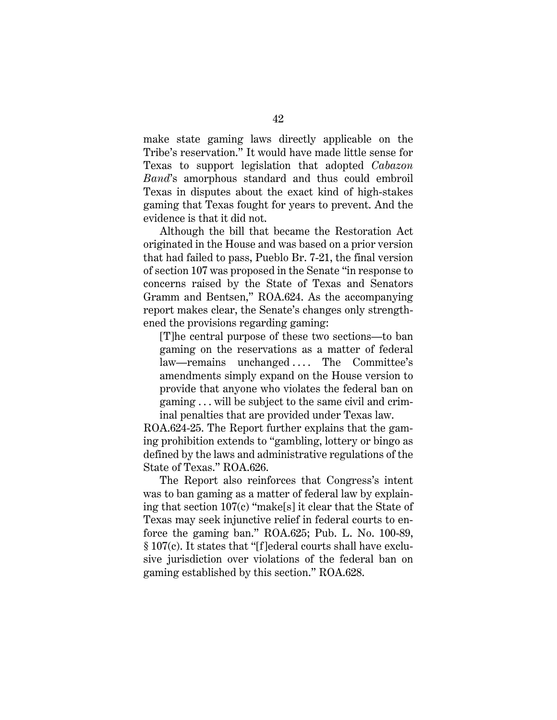make state gaming laws directly applicable on the Tribe's reservation." It would have made little sense for Texas to support legislation that adopted *Cabazon Band*'s amorphous standard and thus could embroil Texas in disputes about the exact kind of high-stakes gaming that Texas fought for years to prevent. And the evidence is that it did not.

Although the bill that became the Restoration Act originated in the House and was based on a prior version that had failed to pass, Pueblo Br. 7-21, the final version of section 107 was proposed in the Senate "in response to concerns raised by the State of Texas and Senators Gramm and Bentsen," ROA.624. As the accompanying report makes clear, the Senate's changes only strengthened the provisions regarding gaming:

[T]he central purpose of these two sections—to ban gaming on the reservations as a matter of federal law—remains unchanged .... The Committee's amendments simply expand on the House version to provide that anyone who violates the federal ban on gaming . . . will be subject to the same civil and criminal penalties that are provided under Texas law.

ROA.624-25. The Report further explains that the gaming prohibition extends to "gambling, lottery or bingo as defined by the laws and administrative regulations of the State of Texas." ROA.626.

The Report also reinforces that Congress's intent was to ban gaming as a matter of federal law by explaining that section 107(c) "make[s] it clear that the State of Texas may seek injunctive relief in federal courts to enforce the gaming ban." ROA.625; Pub. L. No. 100-89, § 107(c). It states that "[f]ederal courts shall have exclusive jurisdiction over violations of the federal ban on gaming established by this section." ROA.628.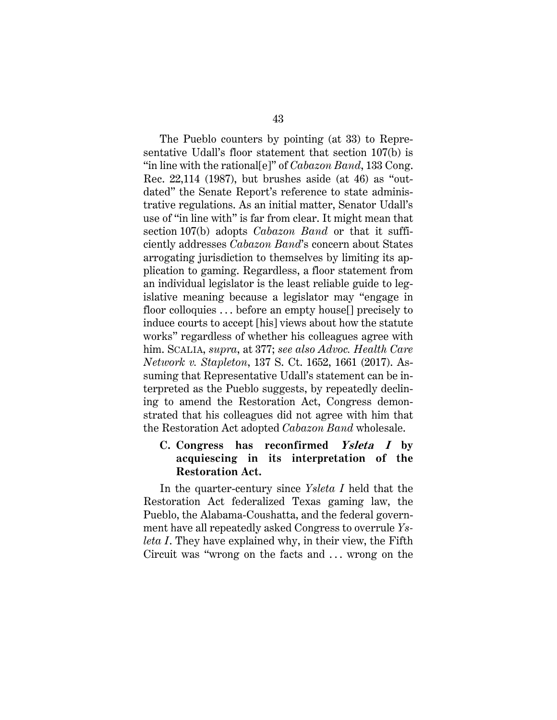<span id="page-58-2"></span>The Pueblo counters by pointing (at 33) to Representative Udall's floor statement that section 107(b) is "in line with the rational[e]" of *Cabazon Band*, 133 Cong. Rec. 22,114 (1987), but brushes aside (at 46) as "outdated" the Senate Report's reference to state administrative regulations. As an initial matter, Senator Udall's use of "in line with" is far from clear. It might mean that section 107(b) adopts *Cabazon Band* or that it sufficiently addresses *Cabazon Band*'s concern about States arrogating jurisdiction to themselves by limiting its application to gaming. Regardless, a floor statement from an individual legislator is the least reliable guide to legislative meaning because a legislator may "engage in floor colloquies . . . before an empty house[] precisely to induce courts to accept [his] views about how the statute works" regardless of whether his colleagues agree with him. SCALIA, *supra*, at 377; *see also Advoc. Health Care Network v. Stapleton*, 137 S. Ct. 1652, 1661 (2017). Assuming that Representative Udall's statement can be interpreted as the Pueblo suggests, by repeatedly declining to amend the Restoration Act, Congress demonstrated that his colleagues did not agree with him that the Restoration Act adopted *Cabazon Band* wholesale.

## <span id="page-58-1"></span><span id="page-58-0"></span>**C. Congress has reconfirmed Ysleta I by acquiescing in its interpretation of the Restoration Act.**

In the quarter-century since *Ysleta I* held that the Restoration Act federalized Texas gaming law, the Pueblo, the Alabama-Coushatta, and the federal government have all repeatedly asked Congress to overrule *Ysleta I*. They have explained why, in their view, the Fifth Circuit was "wrong on the facts and ... wrong on the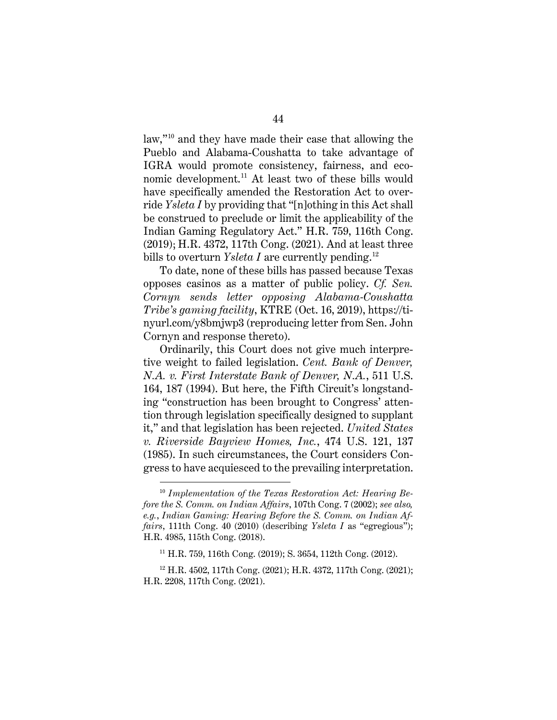law,"[10](#page-59-12) and they have made their case that allowing the Pueblo and Alabama-Coushatta to take advantage of IGRA would promote consistency, fairness, and economic development. [11](#page-59-13) At least two of these bills would have specifically amended the Restoration Act to override *Ysleta I* by providing that "[n]othing in this Act shall be construed to preclude or limit the applicability of the Indian Gaming Regulatory Act." H.R. 759, 116th Cong. (2019); H.R. 4372, 117th Cong. (2021). And at least three bills to overturn *Ysleta I* are currently pending.<sup>[12](#page-59-14)</sup>

<span id="page-59-11"></span><span id="page-59-3"></span>To date, none of these bills has passed because Texas opposes casinos as a matter of public policy. *Cf. Sen. Cornyn sends letter opposing Alabama-Coushatta Tribe's gaming facility*, KTRE (Oct. 16, 2019), https://tinyurl.com/y8bmjwp3 (reproducing letter from Sen. John Cornyn and response thereto).

<span id="page-59-0"></span>Ordinarily, this Court does not give much interpretive weight to failed legislation. *Cent. Bank of Denver, N.A. v. First Interstate Bank of Denver, N.A.*, 511 U.S. 164, 187 (1994). But here, the Fifth Circuit's longstanding "construction has been brought to Congress' attention through legislation specifically designed to supplant it," and that legislation has been rejected. *United States v. Riverside Bayview Homes, Inc.*, 474 U.S. 121, 137 (1985). In such circumstances, the Court considers Congress to have acquiesced to the prevailing interpretation.

<span id="page-59-12"></span><span id="page-59-1"></span><sup>10</sup> *Implementation of the Texas Restoration Act: Hearing Before the S. Comm. on Indian Affairs*, 107th Cong. 7 (2002); *see also, e.g.*, *Indian Gaming: Hearing Before the S. Comm. on Indian Affairs*, 111th Cong. 40 (2010) (describing *Ysleta I* as "egregious"); H.R. 4985, 115th Cong. (2018).

<span id="page-59-10"></span><span id="page-59-9"></span><span id="page-59-8"></span><span id="page-59-7"></span><span id="page-59-6"></span><span id="page-59-5"></span><span id="page-59-2"></span><sup>11</sup> H.R. 759, 116th Cong. (2019); S. 3654, 112th Cong. (2012).

<span id="page-59-14"></span><span id="page-59-13"></span><span id="page-59-4"></span><sup>12</sup> H.R. 4502, 117th Cong. (2021); H.R. 4372, 117th Cong. (2021); H.R. 2208, 117th Cong. (2021).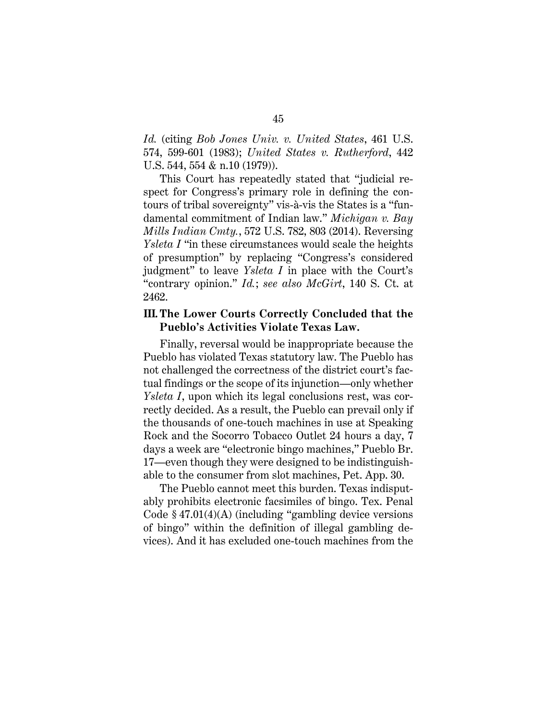<span id="page-60-4"></span><span id="page-60-3"></span><span id="page-60-1"></span>*Id.* (citing *Bob Jones Univ. v. United States*, 461 U.S. 574, 599-601 (1983); *United States v. Rutherford*, 442 U.S. 544, 554 & n.10 (1979)).

<span id="page-60-2"></span>This Court has repeatedly stated that "judicial respect for Congress's primary role in defining the contours of tribal sovereignty" vis-à-vis the States is a "fundamental commitment of Indian law." *Michigan v. Bay Mills Indian Cmty.*, 572 U.S. 782, 803 (2014). Reversing *Ysleta I* "in these circumstances would scale the heights" of presumption" by replacing "Congress's considered judgment" to leave *Ysleta I* in place with the Court's "contrary opinion." *Id.*; *see also McGirt*, 140 S. Ct. at 2462.

#### <span id="page-60-0"></span>**III. The Lower Courts Correctly Concluded that the Pueblo's Activities Violate Texas Law.**

Finally, reversal would be inappropriate because the Pueblo has violated Texas statutory law. The Pueblo has not challenged the correctness of the district court's factual findings or the scope of its injunction—only whether *Ysleta I*, upon which its legal conclusions rest, was correctly decided. As a result, the Pueblo can prevail only if the thousands of one-touch machines in use at Speaking Rock and the Socorro Tobacco Outlet 24 hours a day, 7 days a week are "electronic bingo machines," Pueblo Br. 17—even though they were designed to be indistinguishable to the consumer from slot machines, Pet. App. 30.

<span id="page-60-5"></span>The Pueblo cannot meet this burden. Texas indisputably prohibits electronic facsimiles of bingo. Tex. Penal Code  $\S 47.01(4)(A)$  (including "gambling device versions") of bingo" within the definition of illegal gambling devices). And it has excluded one-touch machines from the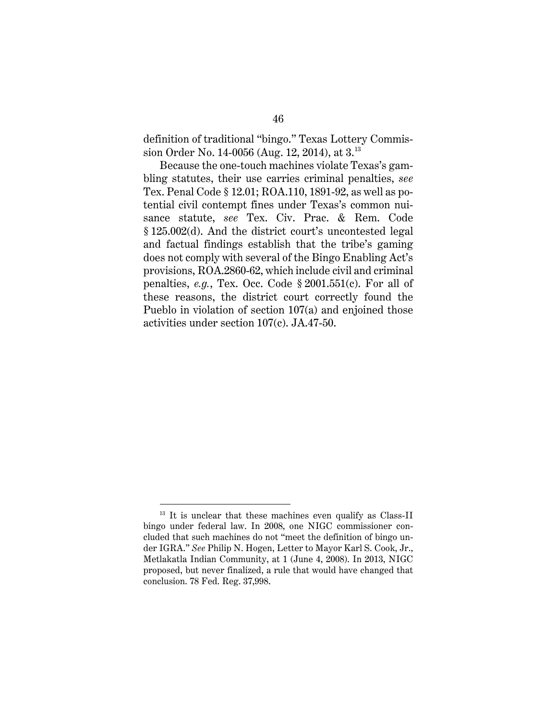<span id="page-61-4"></span>definition of traditional "bingo." Texas Lottery Commission Order No. 14-0056 (Aug. 12, 2014), at  $3^{13}$  $3^{13}$  $3^{13}$ 

<span id="page-61-2"></span><span id="page-61-1"></span><span id="page-61-0"></span>Because the one-touch machines violate Texas's gambling statutes, their use carries criminal penalties, *see* Tex. Penal Code § 12.01; ROA.110, 1891-92, as well as potential civil contempt fines under Texas's common nuisance statute, *see* Tex. Civ. Prac. & Rem. Code § 125.002(d). And the district court's uncontested legal and factual findings establish that the tribe's gaming does not comply with several of the Bingo Enabling Act's provisions, ROA.2860-62, which include civil and criminal penalties, *e.g.*, Tex. Occ. Code § 2001.551(c). For all of these reasons, the district court correctly found the Pueblo in violation of section 107(a) and enjoined those activities under section 107(c). JA.47-50.

<span id="page-61-5"></span><span id="page-61-3"></span> $13$  It is unclear that these machines even qualify as Class-II bingo under federal law. In 2008, one NIGC commissioner concluded that such machines do not "meet the definition of bingo under IGRA." *See* Philip N. Hogen, Letter to Mayor Karl S. Cook, Jr., Metlakatla Indian Community, at 1 (June 4, 2008). In 2013, NIGC proposed, but never finalized, a rule that would have changed that conclusion. 78 Fed. Reg. 37,998.